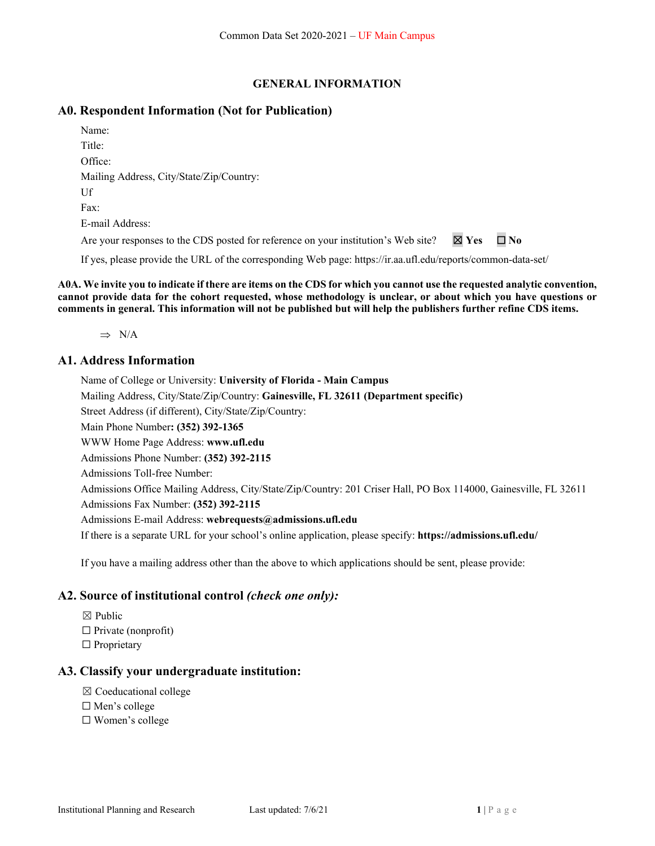### **GENERAL INFORMATION**

### **A0. Respondent Information (Not for Publication)**

| Name:                                                                              |                 |              |
|------------------------------------------------------------------------------------|-----------------|--------------|
| Title:                                                                             |                 |              |
| Office:                                                                            |                 |              |
| Mailing Address, City/State/Zip/Country:                                           |                 |              |
| Uf                                                                                 |                 |              |
| Fax:                                                                               |                 |              |
| E-mail Address:                                                                    |                 |              |
| Are your responses to the CDS posted for reference on your institution's Web site? | $\boxtimes$ Yes | $\square$ No |
|                                                                                    |                 |              |

If yes, please provide the URL of the corresponding Web page: https://ir.aa.ufl.edu/reports/common-data-set/

**A0A. We invite you to indicate if there are items on the CDS for which you cannot use the requested analytic convention, cannot provide data for the cohort requested, whose methodology is unclear, or about which you have questions or comments in general. This information will not be published but will help the publishers further refine CDS items.** 

 $\Rightarrow$  N/A

### **A1. Address Information**

Name of College or University: **University of Florida - Main Campus** Mailing Address, City/State/Zip/Country: **Gainesville, FL 32611 (Department specific)**  Street Address (if different), City/State/Zip/Country: Main Phone Number**: (352) 392-1365**  WWW Home Page Address: **www.ufl.edu** Admissions Phone Number: **(352) 392-2115** Admissions Toll-free Number: Admissions Office Mailing Address, City/State/Zip/Country: 201 Criser Hall, PO Box 114000, Gainesville, FL 32611 Admissions Fax Number: **(352) 392-2115** Admissions E-mail Address: **webrequests@admissions.ufl.edu** If there is a separate URL for your school's online application, please specify: **https://admissions.ufl.edu/**

If you have a mailing address other than the above to which applications should be sent, please provide:

### **A2. Source of institutional control** *(check one only):*

☒ Public  $\Box$  Private (nonprofit) □ Proprietary

### **A3. Classify your undergraduate institution:**

- ☒ Coeducational college
- ☐ Men's college
- ☐ Women's college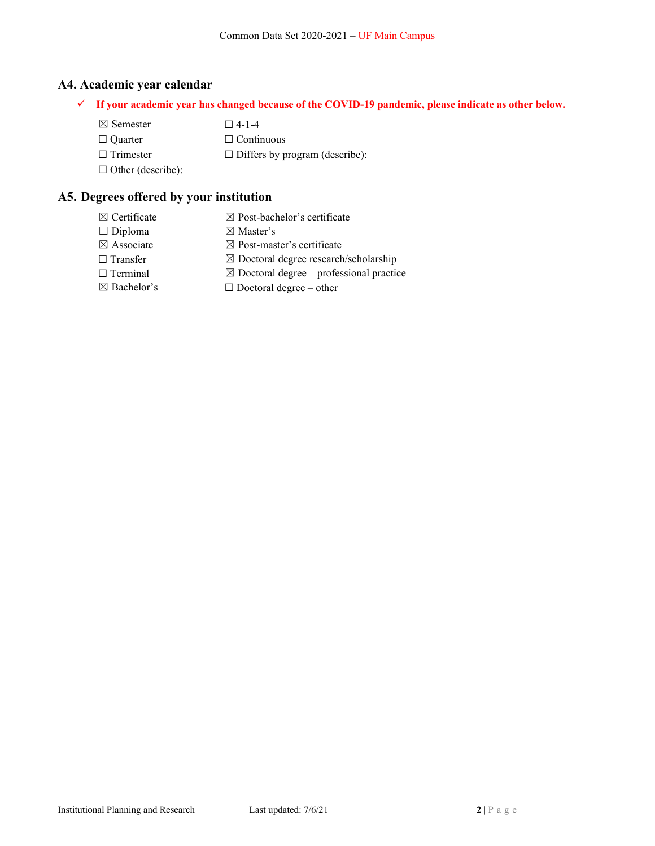## **A4. Academic year calendar**

- **If your academic year has changed because of the COVID-19 pandemic, please indicate as other below.** 
	- $\boxtimes$  Semester  $\Box$  4-1-4 ☐ Quarter ☐ Continuous  $\Box$  Trimester  $\Box$  Differs by program (describe):  $\Box$  Other (describe):

## **A5. Degrees offered by your institution**

 $\boxtimes$  Certificate  $\boxtimes$  Post-bachelor's certificate  $\Box$  Diploma  $\boxtimes$  Master's  $\boxtimes$  Associate  $\boxtimes$  Post-master's certificate ☐ Transfer ☒ Doctoral degree research/scholarship  $\Box$  Terminal  $\boxtimes$  Doctoral degree – professional practice  $\boxtimes$  Bachelor's  $\Box$  Doctoral degree – other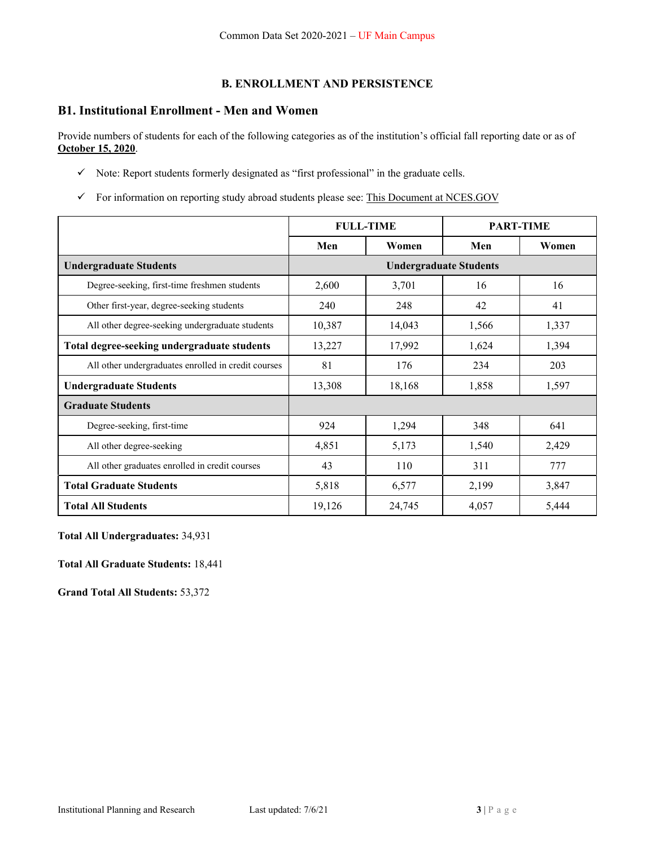## **B. ENROLLMENT AND PERSISTENCE**

## **B1. Institutional Enrollment - Men and Women**

Provide numbers of students for each of the following categories as of the institution's official fall reporting date or as of **October 15, 2020**.

- $\checkmark$  Note: Report students formerly designated as "first professional" in the graduate cells.
- $\checkmark$  For information on reporting study abroad students please see: This Document at NCES.GOV

|                                                     | <b>FULL-TIME</b> |        |                               | <b>PART-TIME</b> |
|-----------------------------------------------------|------------------|--------|-------------------------------|------------------|
|                                                     | Men              | Women  | Men                           | Women            |
| <b>Undergraduate Students</b>                       |                  |        | <b>Undergraduate Students</b> |                  |
| Degree-seeking, first-time freshmen students        | 2,600            | 3,701  | 16                            | 16               |
| Other first-year, degree-seeking students           | 240              | 248    | 42                            | 41               |
| All other degree-seeking undergraduate students     | 10,387           | 14,043 | 1,566                         | 1,337            |
| Total degree-seeking undergraduate students         | 13,227           | 17,992 | 1,624                         | 1,394            |
| All other undergraduates enrolled in credit courses | 81               | 176    | 234                           | 203              |
| <b>Undergraduate Students</b>                       | 13,308           | 18,168 | 1,858                         | 1,597            |
| <b>Graduate Students</b>                            |                  |        |                               |                  |
| Degree-seeking, first-time                          | 924              | 1,294  | 348                           | 641              |
| All other degree-seeking                            | 4,851            | 5,173  | 1,540                         | 2,429            |
| All other graduates enrolled in credit courses      | 43               | 110    | 311                           | 777              |
| <b>Total Graduate Students</b>                      | 5,818            | 6,577  | 2,199                         | 3,847            |
| <b>Total All Students</b>                           | 19,126           | 24,745 | 4,057                         | 5,444            |

**Total All Undergraduates:** 34,931

**Total All Graduate Students:** 18,441

**Grand Total All Students:** 53,372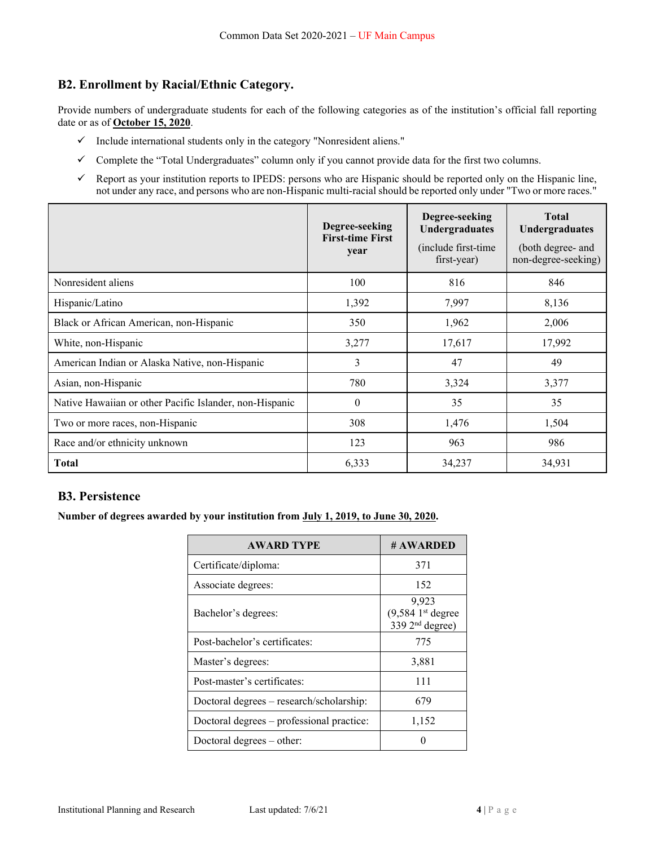## **B2. Enrollment by Racial/Ethnic Category.**

Provide numbers of undergraduate students for each of the following categories as of the institution's official fall reporting date or as of **October 15, 2020**.

- $\checkmark$  Include international students only in the category "Nonresident aliens."
- Complete the "Total Undergraduates" column only if you cannot provide data for the first two columns.
- $\checkmark$  Report as your institution reports to IPEDS: persons who are Hispanic should be reported only on the Hispanic line, not under any race, and persons who are non-Hispanic multi-racial should be reported only under "Two or more races."

|                                                         | Degree-seeking<br><b>First-time First</b><br>year | Degree-seeking<br><b>Undergraduates</b><br>(include first-time)<br>first-year) | <b>Total</b><br><b>Undergraduates</b><br>(both degree- and<br>non-degree-seeking) |
|---------------------------------------------------------|---------------------------------------------------|--------------------------------------------------------------------------------|-----------------------------------------------------------------------------------|
| Nonresident aliens                                      | 100                                               | 816                                                                            | 846                                                                               |
| Hispanic/Latino                                         | 1,392                                             | 7,997                                                                          | 8,136                                                                             |
| Black or African American, non-Hispanic                 | 350                                               | 1,962                                                                          | 2,006                                                                             |
| White, non-Hispanic                                     | 3,277                                             | 17,617                                                                         | 17,992                                                                            |
| American Indian or Alaska Native, non-Hispanic          | 3                                                 | 47                                                                             | 49                                                                                |
| Asian, non-Hispanic                                     | 780                                               | 3,324                                                                          | 3,377                                                                             |
| Native Hawaiian or other Pacific Islander, non-Hispanic | $\theta$                                          | 35                                                                             | 35                                                                                |
| Two or more races, non-Hispanic                         | 308                                               | 1,476                                                                          | 1,504                                                                             |
| Race and/or ethnicity unknown                           | 123                                               | 963                                                                            | 986                                                                               |
| <b>Total</b>                                            | 6,333                                             | 34,237                                                                         | 34,931                                                                            |

### **B3. Persistence**

### **Number of degrees awarded by your institution from July 1, 2019, to June 30, 2020.**

| <b>AWARD TYPE</b>                         | # AWARDED                                                              |
|-------------------------------------------|------------------------------------------------------------------------|
| Certificate/diploma:                      | 371                                                                    |
| Associate degrees:                        | 152                                                                    |
| Bachelor's degrees:                       | 9,923<br>$(9,584)$ <sup>st</sup> degree<br>339 2 <sup>nd</sup> degree) |
| Post-bachelor's certificates:             | 775                                                                    |
| Master's degrees:                         | 3,881                                                                  |
| Post-master's certificates:               | 111                                                                    |
| Doctoral degrees - research/scholarship:  | 679                                                                    |
| Doctoral degrees – professional practice: | 1,152                                                                  |
| Doctoral degrees $-$ other:               |                                                                        |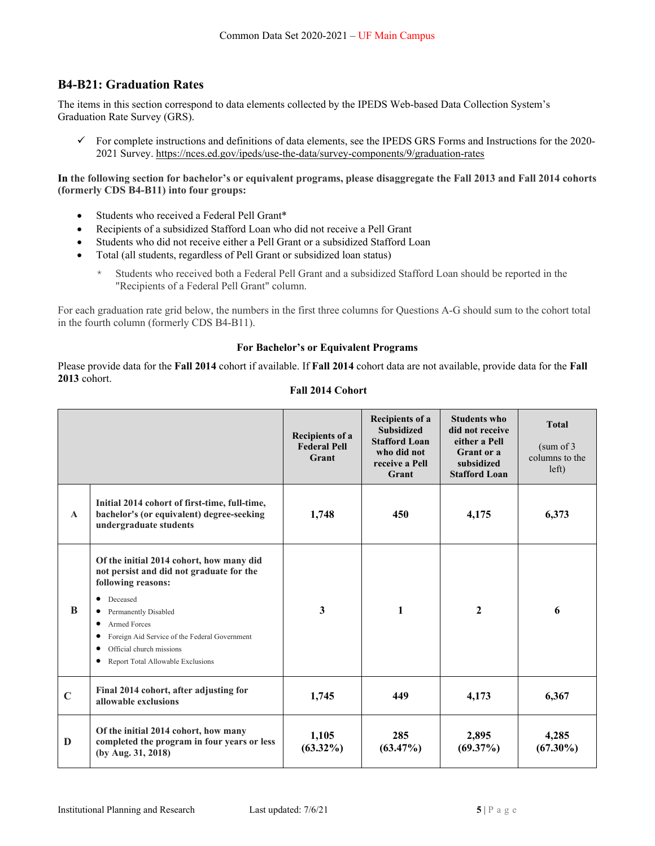## **B4-B21: Graduation Rates**

The items in this section correspond to data elements collected by the IPEDS Web-based Data Collection System's Graduation Rate Survey (GRS).

 $\checkmark$  For complete instructions and definitions of data elements, see the IPEDS GRS Forms and Instructions for the 2020-2021 Survey. https://nces.ed.gov/ipeds/use-the-data/survey-components/9/graduation-rates

**In the following section for bachelor's or equivalent programs, please disaggregate the Fall 2013 and Fall 2014 cohorts (formerly CDS B4-B11) into four groups:** 

- Students who received a Federal Pell Grant\*
- Recipients of a subsidized Stafford Loan who did not receive a Pell Grant
- Students who did not receive either a Pell Grant or a subsidized Stafford Loan
- Total (all students, regardless of Pell Grant or subsidized loan status)
	- \* Students who received both a Federal Pell Grant and a subsidized Stafford Loan should be reported in the "Recipients of a Federal Pell Grant" column.

For each graduation rate grid below, the numbers in the first three columns for Questions A-G should sum to the cohort total in the fourth column (formerly CDS B4-B11).

#### **For Bachelor's or Equivalent Programs**

Please provide data for the **Fall 2014** cohort if available. If **Fall 2014** cohort data are not available, provide data for the **Fall 2013** cohort.

#### **Fall 2014 Cohort**

|              |                                                                                                                                                                                                                                                                                                                               | <b>Recipients of a</b><br><b>Federal Pell</b><br>Grant | <b>Recipients of a</b><br><b>Subsidized</b><br><b>Stafford Loan</b><br>who did not<br>receive a Pell<br>Grant | <b>Students who</b><br>did not receive<br>either a Pell<br>Grant or a<br>subsidized<br><b>Stafford Loan</b> | <b>Total</b><br>(sum of 3<br>columns to the<br>left) |
|--------------|-------------------------------------------------------------------------------------------------------------------------------------------------------------------------------------------------------------------------------------------------------------------------------------------------------------------------------|--------------------------------------------------------|---------------------------------------------------------------------------------------------------------------|-------------------------------------------------------------------------------------------------------------|------------------------------------------------------|
| $\mathbf{A}$ | Initial 2014 cohort of first-time, full-time,<br>bachelor's (or equivalent) degree-seeking<br>undergraduate students                                                                                                                                                                                                          | 1,748                                                  | 450                                                                                                           | 4,175                                                                                                       | 6,373                                                |
| <sup>B</sup> | Of the initial 2014 cohort, how many did<br>not persist and did not graduate for the<br>following reasons:<br>Deceased<br>$\bullet$<br>Permanently Disabled<br>٠<br><b>Armed Forces</b><br>٠<br>Foreign Aid Service of the Federal Government<br>٠<br>Official church missions<br>٠<br>Report Total Allowable Exclusions<br>٠ | 3                                                      | 1                                                                                                             | $\mathbf{2}$                                                                                                | 6                                                    |
| $\mathbf C$  | Final 2014 cohort, after adjusting for<br>allowable exclusions                                                                                                                                                                                                                                                                | 1,745                                                  | 449                                                                                                           | 4,173                                                                                                       | 6,367                                                |
| D            | Of the initial 2014 cohort, how many<br>completed the program in four years or less<br>(by Aug. 31, 2018)                                                                                                                                                                                                                     | 1,105<br>$(63.32\%)$                                   | 285<br>$(63.47\%)$                                                                                            | 2,895<br>$(69.37\%)$                                                                                        | 4,285<br>$(67.30\%)$                                 |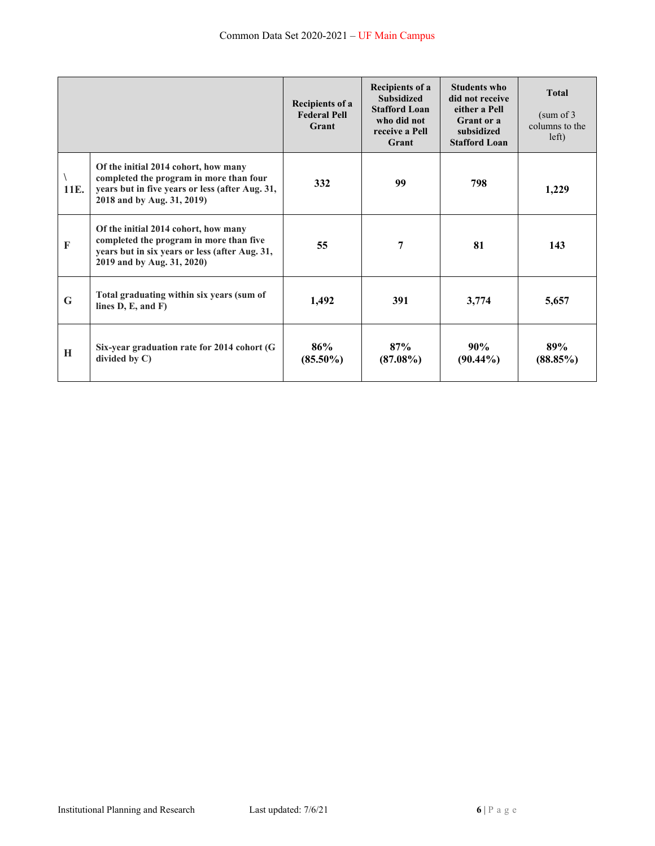|              |                                                                                                                                                                  | Recipients of a<br><b>Federal Pell</b><br>Grant | <b>Recipients of a</b><br><b>Subsidized</b><br><b>Stafford Loan</b><br>who did not<br>receive a Pell<br>Grant | Students who<br>did not receive<br>either a Pell<br>Grant or a<br>subsidized<br><b>Stafford Loan</b> | <b>Total</b><br>(sum of 3)<br>columns to the<br>left) |
|--------------|------------------------------------------------------------------------------------------------------------------------------------------------------------------|-------------------------------------------------|---------------------------------------------------------------------------------------------------------------|------------------------------------------------------------------------------------------------------|-------------------------------------------------------|
| 11E.         | Of the initial 2014 cohort, how many<br>completed the program in more than four<br>years but in five years or less (after Aug. 31,<br>2018 and by Aug. 31, 2019) | 332                                             | 99                                                                                                            | 798                                                                                                  | 1,229                                                 |
| $\mathbf{F}$ | Of the initial 2014 cohort, how many<br>completed the program in more than five<br>years but in six years or less (after Aug. 31,<br>2019 and by Aug. 31, 2020)  | 55                                              | 7                                                                                                             | 81                                                                                                   | 143                                                   |
| $\mathbf G$  | Total graduating within six years (sum of<br>lines $D, E, and F$                                                                                                 | 1,492                                           | 391                                                                                                           | 3,774                                                                                                | 5,657                                                 |
| H            | Six-year graduation rate for 2014 cohort (G<br>divided by C)                                                                                                     | 86%<br>$(85.50\%)$                              | 87%<br>$(87.08\%)$                                                                                            | 90%<br>$(90.44\%)$                                                                                   | 89%<br>(88.85%)                                       |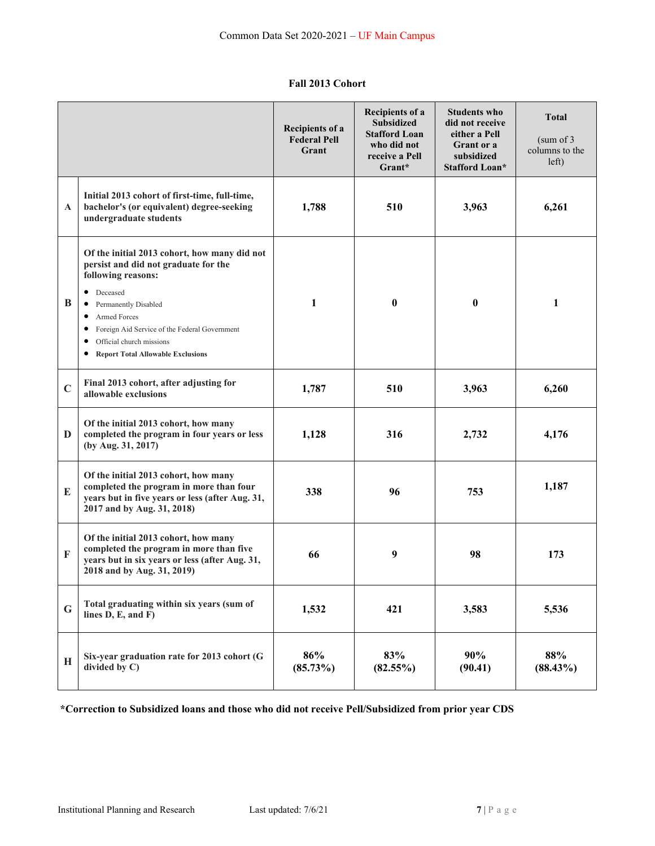## **Fall 2013 Cohort**

|             |                                                                                                                                                                                                                                                                                                                                         | Recipients of a<br><b>Federal Pell</b><br>Grant | <b>Recipients of a</b><br><b>Subsidized</b><br><b>Stafford Loan</b><br>who did not<br>receive a Pell<br>Grant* | <b>Students who</b><br>did not receive<br>either a Pell<br>Grant or a<br>subsidized<br>Stafford Loan* | <b>Total</b><br>(sum of 3)<br>columns to the<br>left) |
|-------------|-----------------------------------------------------------------------------------------------------------------------------------------------------------------------------------------------------------------------------------------------------------------------------------------------------------------------------------------|-------------------------------------------------|----------------------------------------------------------------------------------------------------------------|-------------------------------------------------------------------------------------------------------|-------------------------------------------------------|
| A           | Initial 2013 cohort of first-time, full-time,<br>bachelor's (or equivalent) degree-seeking<br>undergraduate students                                                                                                                                                                                                                    | 1,788                                           | 510                                                                                                            | 3,963                                                                                                 | 6,261                                                 |
| B           | Of the initial 2013 cohort, how many did not<br>persist and did not graduate for the<br>following reasons:<br>• Deceased<br><b>Permanently Disabled</b><br>$\bullet$<br>Armed Forces<br>$\bullet$<br>Foreign Aid Service of the Federal Government<br>$\bullet$<br>Official church missions<br><b>Report Total Allowable Exclusions</b> | $\mathbf{1}$                                    | $\bf{0}$                                                                                                       | $\bf{0}$                                                                                              | 1                                                     |
| $\mathbf C$ | Final 2013 cohort, after adjusting for<br>allowable exclusions                                                                                                                                                                                                                                                                          | 1,787                                           | 510                                                                                                            | 3,963                                                                                                 | 6,260                                                 |
| D           | Of the initial 2013 cohort, how many<br>completed the program in four years or less<br>(by Aug. 31, 2017)                                                                                                                                                                                                                               | 1,128                                           | 316                                                                                                            | 2,732                                                                                                 | 4,176                                                 |
| ${\bf E}$   | Of the initial 2013 cohort, how many<br>completed the program in more than four<br>years but in five years or less (after Aug. 31,<br>2017 and by Aug. 31, 2018)                                                                                                                                                                        | 338                                             | 96                                                                                                             | 753                                                                                                   | 1,187                                                 |
| F           | Of the initial 2013 cohort, how many<br>completed the program in more than five<br>years but in six years or less (after Aug. 31,<br>2018 and by Aug. 31, 2019)                                                                                                                                                                         | 66                                              | 9                                                                                                              | 98                                                                                                    | 173                                                   |
| G           | Total graduating within six years (sum of<br>lines $D, E, and F$                                                                                                                                                                                                                                                                        | 1,532                                           | 421                                                                                                            | 3,583                                                                                                 | 5,536                                                 |
| H           | Six-year graduation rate for 2013 cohort (G<br>divided by C)                                                                                                                                                                                                                                                                            | 86%<br>$(85.73\%)$                              | 83%<br>$(82.55\%)$                                                                                             | 90%<br>(90.41)                                                                                        | 88%<br>$(88.43\%)$                                    |

## **\*Correction to Subsidized loans and those who did not receive Pell/Subsidized from prior year CDS**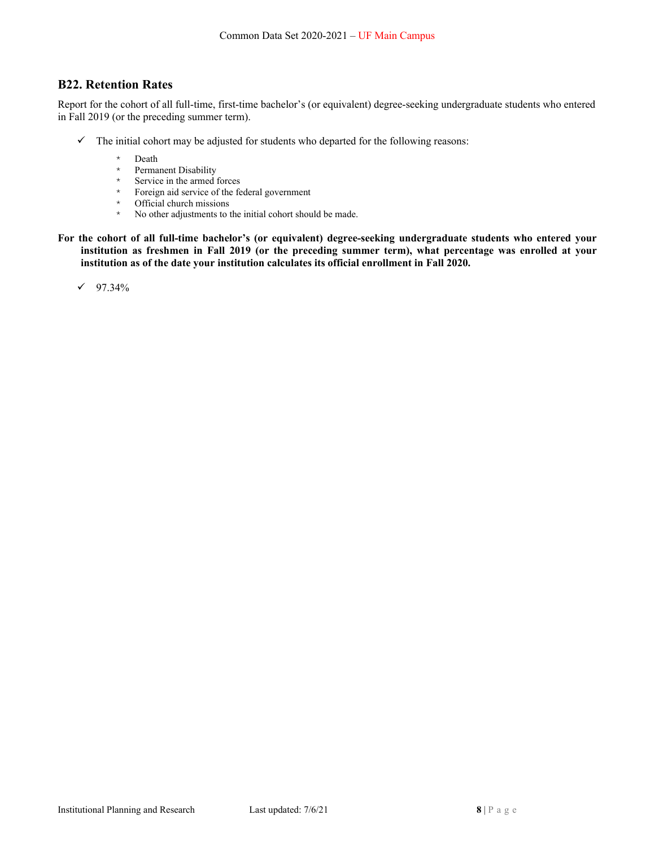### **B22. Retention Rates**

Report for the cohort of all full-time, first-time bachelor's (or equivalent) degree-seeking undergraduate students who entered in Fall 2019 (or the preceding summer term).

- $\checkmark$  The initial cohort may be adjusted for students who departed for the following reasons:
	- $*$  Death<br> $*$  Perma
	- Permanent Disability
	- \* Service in the armed forces
	- \* Foreign aid service of the federal government
	- \* Official church missions
	- \* No other adjustments to the initial cohort should be made.
- **For the cohort of all full-time bachelor's (or equivalent) degree-seeking undergraduate students who entered your institution as freshmen in Fall 2019 (or the preceding summer term), what percentage was enrolled at your institution as of the date your institution calculates its official enrollment in Fall 2020.**

 $\checkmark$  97.34%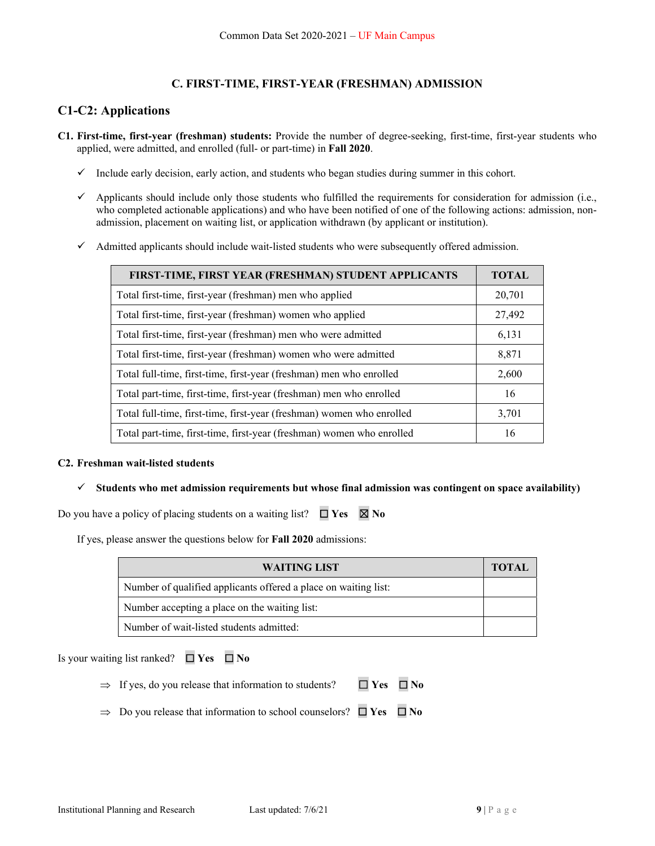## **C. FIRST-TIME, FIRST-YEAR (FRESHMAN) ADMISSION**

## **C1-C2: Applications**

- **C1. First-time, first-year (freshman) students:** Provide the number of degree-seeking, first-time, first-year students who applied, were admitted, and enrolled (full- or part-time) in **Fall 2020**.
	- $\checkmark$  Include early decision, early action, and students who began studies during summer in this cohort.
	- Applicants should include only those students who fulfilled the requirements for consideration for admission (i.e., who completed actionable applications) and who have been notified of one of the following actions: admission, nonadmission, placement on waiting list, or application withdrawn (by applicant or institution).
	- $\checkmark$  Admitted applicants should include wait-listed students who were subsequently offered admission.

| FIRST-TIME, FIRST YEAR (FRESHMAN) STUDENT APPLICANTS                  | <b>TOTAL</b> |
|-----------------------------------------------------------------------|--------------|
| Total first-time, first-year (freshman) men who applied               | 20,701       |
| Total first-time, first-year (freshman) women who applied             | 27,492       |
| Total first-time, first-year (freshman) men who were admitted         | 6,131        |
| Total first-time, first-year (freshman) women who were admitted       | 8,871        |
| Total full-time, first-time, first-year (freshman) men who enrolled   | 2,600        |
| Total part-time, first-time, first-year (freshman) men who enrolled   | 16           |
| Total full-time, first-time, first-year (freshman) women who enrolled | 3,701        |
| Total part-time, first-time, first-year (freshman) women who enrolled | 16           |

### **C2. Freshman wait-listed students**

**Students who met admission requirements but whose final admission was contingent on space availability)** 

Do you have a policy of placing students on a waiting list?  $\Box$  **Yes**  $\boxtimes$  **No** 

If yes, please answer the questions below for **Fall 2020** admissions:

| WAITING LIST                                                    | <b>TOTAL</b> |
|-----------------------------------------------------------------|--------------|
| Number of qualified applicants offered a place on waiting list: |              |
| Number accepting a place on the waiting list:                   |              |
| Number of wait-listed students admitted:                        |              |

Is your waiting list ranked? ☐ **Yes** ☐ **No**

- If yes, do you release that information to students? ☐ **Yes** ☐ **No**
- Do you release that information to school counselors? ☐ **Yes** ☐ **No**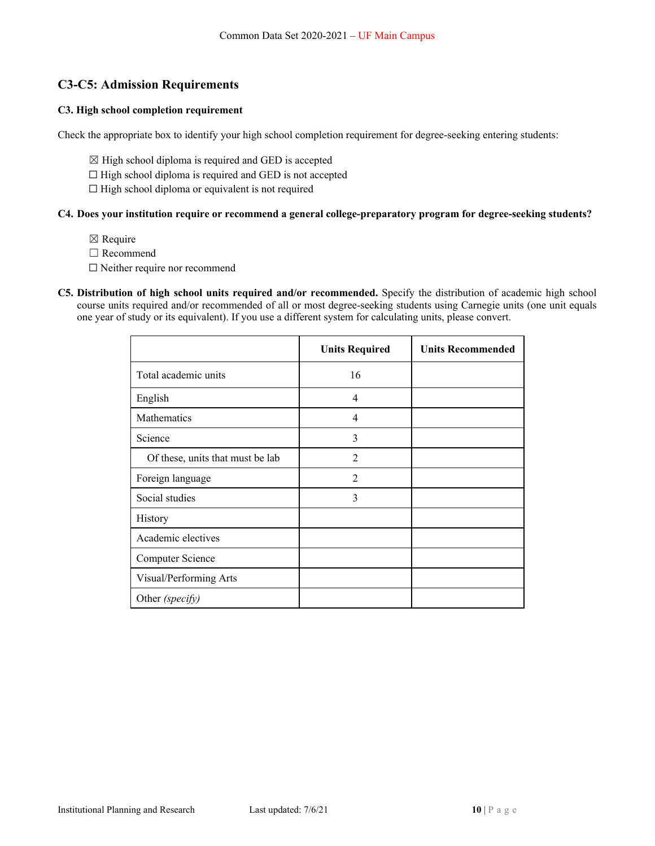## **C3-C5: Admission Requirements**

### **C3. High school completion requirement**

Check the appropriate box to identify your high school completion requirement for degree-seeking entering students:

- $\boxtimes$  High school diploma is required and GED is accepted
- ☐ High school diploma is required and GED is not accepted
- $\Box$  High school diploma or equivalent is not required

### **C4. Does your institution require or recommend a general college-preparatory program for degree-seeking students?**

- ☒ Require
- □ Recommend
- □ Neither require nor recommend
- **C5. Distribution of high school units required and/or recommended.** Specify the distribution of academic high school course units required and/or recommended of all or most degree-seeking students using Carnegie units (one unit equals one year of study or its equivalent). If you use a different system for calculating units, please convert.

|                                  | <b>Units Required</b> | <b>Units Recommended</b> |
|----------------------------------|-----------------------|--------------------------|
| Total academic units             | 16                    |                          |
| English                          | $\overline{4}$        |                          |
| <b>Mathematics</b>               | $\overline{4}$        |                          |
| Science                          | 3                     |                          |
| Of these, units that must be lab | $\mathfrak{D}$        |                          |
| Foreign language                 | $\overline{2}$        |                          |
| Social studies                   | 3                     |                          |
| History                          |                       |                          |
| Academic electives               |                       |                          |
| Computer Science                 |                       |                          |
| Visual/Performing Arts           |                       |                          |
| Other (specify)                  |                       |                          |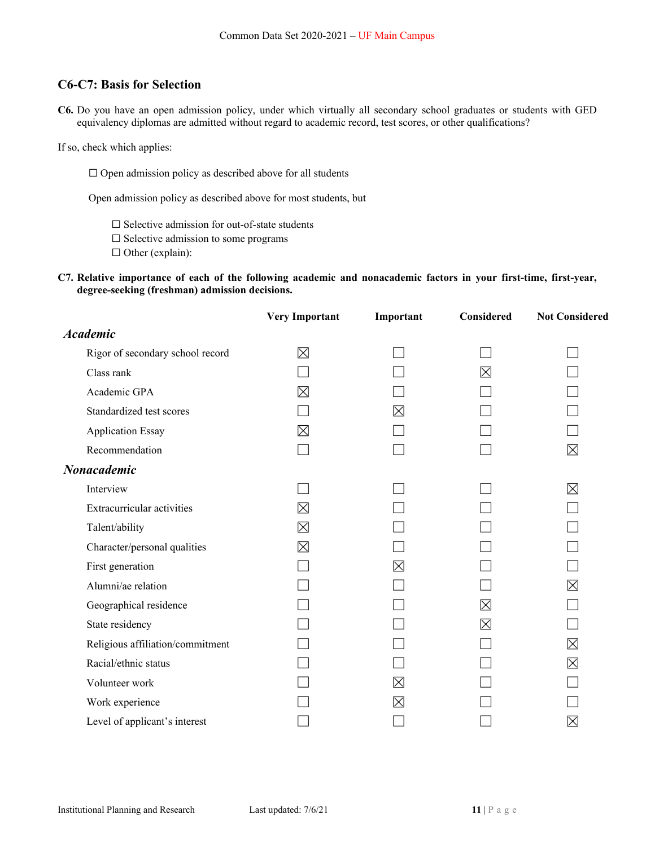## **C6-C7: Basis for Selection**

**C6.** Do you have an open admission policy, under which virtually all secondary school graduates or students with GED equivalency diplomas are admitted without regard to academic record, test scores, or other qualifications?

If so, check which applies:

 $\Box$  Open admission policy as described above for all students

Open admission policy as described above for most students, but

☐ Selective admission for out-of-state students

 $\Box$  Selective admission to some programs

☐ Other (explain):

**C7. Relative importance of each of the following academic and nonacademic factors in your first-time, first-year, degree-seeking (freshman) admission decisions.** 

|                                  | <b>Very Important</b> | Important   | Considered  | <b>Not Considered</b> |
|----------------------------------|-----------------------|-------------|-------------|-----------------------|
| <b>Academic</b>                  |                       |             |             |                       |
| Rigor of secondary school record | ⊠                     |             |             |                       |
| Class rank                       |                       |             | ⊠           |                       |
| Academic GPA                     | ⊠                     |             |             |                       |
| Standardized test scores         |                       | $\times$    |             |                       |
| <b>Application Essay</b>         | ⊠                     |             |             |                       |
| Recommendation                   |                       |             |             | ⊠                     |
| Nonacademic                      |                       |             |             |                       |
| Interview                        |                       |             |             | ⊠                     |
| Extracurricular activities       | ⊠                     |             |             |                       |
| Talent/ability                   | ⊠                     |             |             |                       |
| Character/personal qualities     | $\boxtimes$           |             |             |                       |
| First generation                 |                       | $\boxtimes$ |             |                       |
| Alumni/ae relation               |                       |             |             | ⊠                     |
| Geographical residence           |                       |             | $\boxtimes$ |                       |
| State residency                  |                       |             | ⊠           |                       |
| Religious affiliation/commitment |                       |             |             | ⊠                     |
| Racial/ethnic status             |                       |             |             | $\boxtimes$           |
| Volunteer work                   |                       | $\boxtimes$ |             |                       |
| Work experience                  |                       | $\boxtimes$ |             |                       |
| Level of applicant's interest    |                       |             |             | $\boxtimes$           |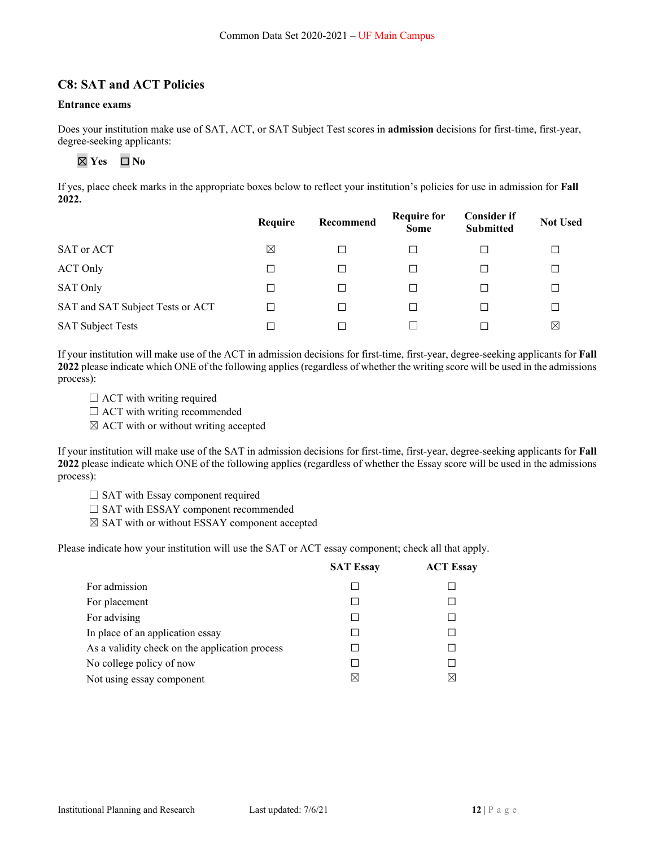### **C8: SAT and ACT Policies**

#### **Entrance exams**

Does your institution make use of SAT, ACT, or SAT Subject Test scores in **admission** decisions for first-time, first-year, degree-seeking applicants:

# ☒ **Yes** ☐ **No**

If yes, place check marks in the appropriate boxes below to reflect your institution's policies for use in admission for **Fall 2022.** 

|                                  | Require     | Recommend | <b>Require for</b><br><b>Some</b> | <b>Consider if</b><br><b>Submitted</b> | <b>Not Used</b> |
|----------------------------------|-------------|-----------|-----------------------------------|----------------------------------------|-----------------|
| SAT or ACT                       | $\boxtimes$ | □         |                                   |                                        |                 |
| <b>ACT Only</b>                  | □           | □         | □                                 |                                        |                 |
| SAT Only                         | ⊔           | □         | П                                 |                                        |                 |
| SAT and SAT Subject Tests or ACT |             | □         | $\perp$                           |                                        |                 |
| <b>SAT Subject Tests</b>         |             | П         |                                   |                                        | ⊠               |

If your institution will make use of the ACT in admission decisions for first-time, first-year, degree-seeking applicants for **Fall 2022** please indicate which ONE of the following applies (regardless of whether the writing score will be used in the admissions process):

- $\Box$  ACT with writing required
- $\Box$  ACT with writing recommended
- $\boxtimes$  ACT with or without writing accepted

If your institution will make use of the SAT in admission decisions for first-time, first-year, degree-seeking applicants for **Fall 2022** please indicate which ONE of the following applies (regardless of whether the Essay score will be used in the admissions process):

- $\Box$  SAT with Essay component required
- □ SAT with ESSAY component recommended
- ☒ SAT with or without ESSAY component accepted

Please indicate how your institution will use the SAT or ACT essay component; check all that apply.

|                                                | <b>SAT Essay</b> | <b>ACT Essay</b> |
|------------------------------------------------|------------------|------------------|
| For admission                                  |                  |                  |
| For placement                                  |                  |                  |
| For advising                                   |                  |                  |
| In place of an application essay               |                  |                  |
| As a validity check on the application process |                  |                  |
| No college policy of now                       |                  |                  |
| Not using essay component                      |                  | ⋈                |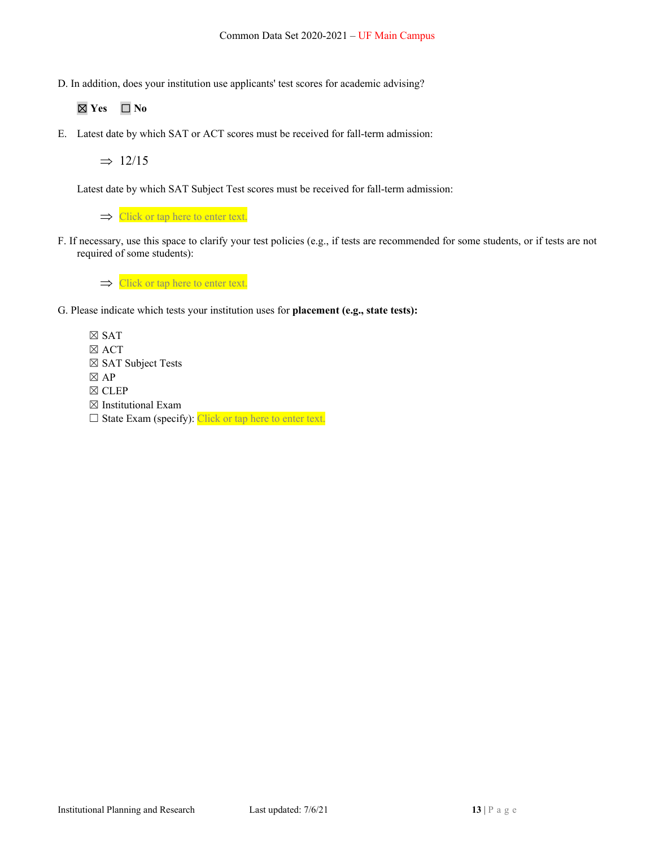D. In addition, does your institution use applicants' test scores for academic advising?

☒ **Yes** ☐ **No** 

E. Latest date by which SAT or ACT scores must be received for fall-term admission:

 $\Rightarrow$  12/15

Latest date by which SAT Subject Test scores must be received for fall-term admission:

 $\Rightarrow$  Click or tap here to enter text.

F. If necessary, use this space to clarify your test policies (e.g., if tests are recommended for some students, or if tests are not required of some students):

 $\Rightarrow$  Click or tap here to enter text.

- G. Please indicate which tests your institution uses for **placement (e.g., state tests):** 
	- ☒ SAT ☒ ACT ☒ SAT Subject Tests  $\boxtimes$  AP ☒ CLEP ☒ Institutional Exam  $\Box$  State Exam (specify): Click or tap here to enter text.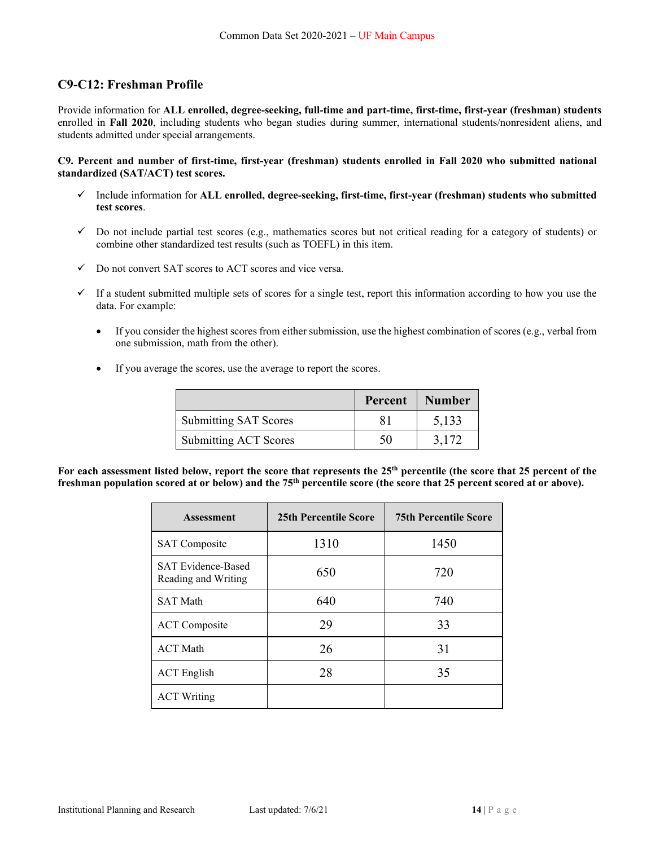## **C9-C12: Freshman Profile**

Provide information for **ALL enrolled, degree-seeking, full-time and part-time, first-time, first-year (freshman) students**  enrolled in **Fall 2020**, including students who began studies during summer, international students/nonresident aliens, and students admitted under special arrangements.

#### **C9. Percent and number of first-time, first-year (freshman) students enrolled in Fall 2020 who submitted national standardized (SAT/ACT) test scores.**

- Include information for **ALL enrolled, degree-seeking, first-time, first-year (freshman) students who submitted test scores**.
- $\checkmark$  Do not include partial test scores (e.g., mathematics scores but not critical reading for a category of students) or combine other standardized test results (such as TOEFL) in this item.
- $\checkmark$  Do not convert SAT scores to ACT scores and vice versa.
- $\checkmark$  If a student submitted multiple sets of scores for a single test, report this information according to how you use the data. For example:
	- If you consider the highest scores from either submission, use the highest combination of scores (e.g., verbal from one submission, math from the other).
	- If you average the scores, use the average to report the scores.

|                              | Percent | <b>Number</b> |
|------------------------------|---------|---------------|
| <b>Submitting SAT Scores</b> |         | 5,133         |
| <b>Submitting ACT Scores</b> | 50      | 3.172         |

For each assessment listed below, report the score that represents the 25<sup>th</sup> percentile (the score that 25 percent of the **freshman population scored at or below) and the 75th percentile score (the score that 25 percent scored at or above).** 

| <b>Assessment</b>                                | <b>25th Percentile Score</b> | <b>75th Percentile Score</b> |
|--------------------------------------------------|------------------------------|------------------------------|
| <b>SAT</b> Composite                             | 1310                         | 1450                         |
| <b>SAT Evidence-Based</b><br>Reading and Writing | 650                          | 720                          |
| <b>SAT Math</b>                                  | 640                          | 740                          |
| <b>ACT</b> Composite                             | 29                           | 33                           |
| <b>ACT</b> Math                                  | 26                           | 31                           |
| <b>ACT</b> English                               | 28                           | 35                           |
| <b>ACT Writing</b>                               |                              |                              |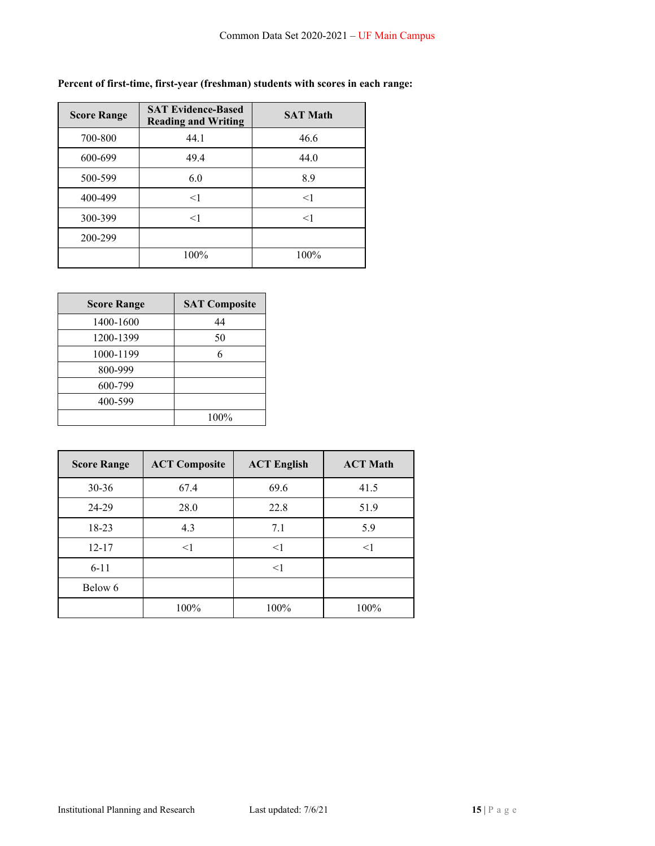## **Percent of first-time, first-year (freshman) students with scores in each range:**

| <b>Score Range</b> | <b>SAT Evidence-Based</b><br><b>Reading and Writing</b> | <b>SAT Math</b> |
|--------------------|---------------------------------------------------------|-----------------|
| 700-800            | 44.1                                                    | 46.6            |
| 600-699            | 49.4                                                    | 44.0            |
| 500-599            | 6.0                                                     | 8.9             |
| 400-499            | $\leq$ 1                                                | $\leq$ 1        |
| 300-399            | $<$ 1                                                   | $<$ 1           |
| 200-299            |                                                         |                 |
|                    | 100%                                                    | 100%            |

| <b>Score Range</b> | <b>SAT Composite</b> |
|--------------------|----------------------|
| 1400-1600          | 44                   |
| 1200-1399          | 50                   |
| 1000-1199          |                      |
| 800-999            |                      |
| 600-799            |                      |
| 400-599            |                      |
|                    | 100%                 |

| <b>Score Range</b> | <b>ACT Composite</b> | <b>ACT English</b> | <b>ACT Math</b> |
|--------------------|----------------------|--------------------|-----------------|
| $30 - 36$          | 67.4                 | 69.6               | 41.5            |
| 24-29              | 28.0                 | 22.8               | 51.9            |
| 18-23              | 4.3                  | 7.1                | 5.9             |
| $12 - 17$          | $\leq$ 1             | <1                 | $<$ 1           |
| $6 - 11$           |                      | $\leq$ 1           |                 |
| Below 6            |                      |                    |                 |
|                    | 100%                 | 100%               | 100%            |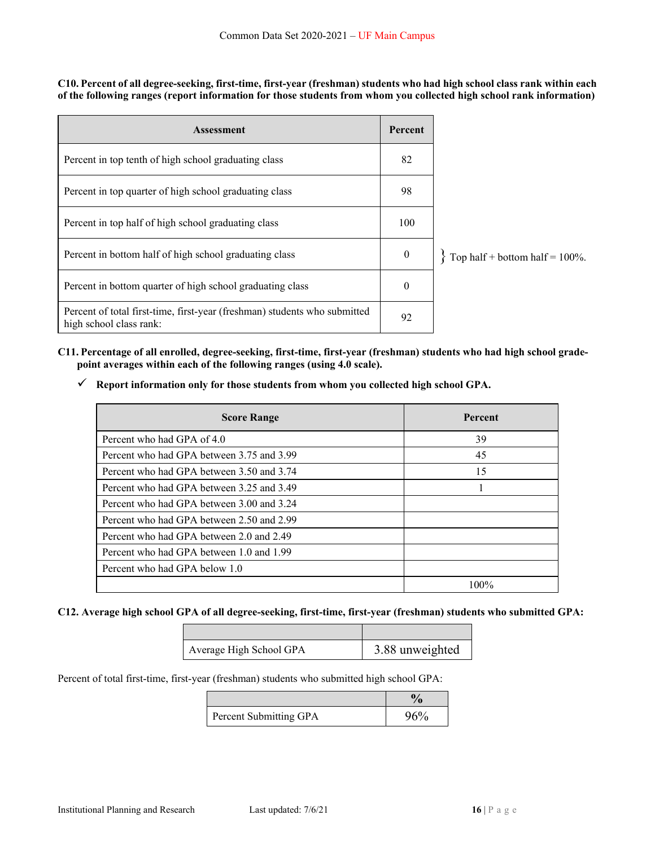**C10. Percent of all degree-seeking, first-time, first-year (freshman) students who had high school class rank within each of the following ranges (report information for those students from whom you collected high school rank information)** 

| <b>Assessment</b>                                                                                    |              |                                    |
|------------------------------------------------------------------------------------------------------|--------------|------------------------------------|
| Percent in top tenth of high school graduating class                                                 | 82           |                                    |
| Percent in top quarter of high school graduating class                                               | 98           |                                    |
| Percent in top half of high school graduating class                                                  | 100          |                                    |
| Percent in bottom half of high school graduating class                                               | $\mathbf{0}$ | Top half + bottom half = $100\%$ . |
| Percent in bottom quarter of high school graduating class                                            | $\theta$     |                                    |
| Percent of total first-time, first-year (freshman) students who submitted<br>high school class rank: | 92           |                                    |

- **C11. Percentage of all enrolled, degree-seeking, first-time, first-year (freshman) students who had high school gradepoint averages within each of the following ranges (using 4.0 scale).** 
	- **Report information only for those students from whom you collected high school GPA.**

| <b>Score Range</b>                        | Percent |
|-------------------------------------------|---------|
| Percent who had GPA of 4.0                | 39      |
| Percent who had GPA between 3.75 and 3.99 | 45      |
| Percent who had GPA between 3.50 and 3.74 | 15      |
| Percent who had GPA between 3.25 and 3.49 |         |
| Percent who had GPA between 3.00 and 3.24 |         |
| Percent who had GPA between 2.50 and 2.99 |         |
| Percent who had GPA between 2.0 and 2.49  |         |
| Percent who had GPA between 1.0 and 1.99  |         |
| Percent who had GPA below 1.0             |         |
|                                           | 100%    |

### **C12. Average high school GPA of all degree-seeking, first-time, first-year (freshman) students who submitted GPA:**

| Average High School GPA | 3.88 unweighted |
|-------------------------|-----------------|

Percent of total first-time, first-year (freshman) students who submitted high school GPA:

| Percent Submitting GPA | 96% |
|------------------------|-----|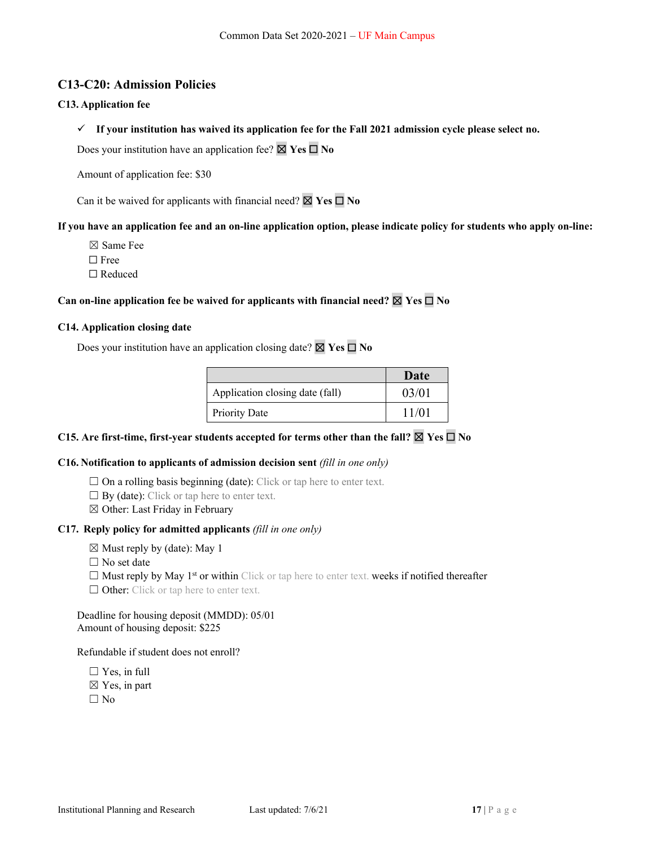## **C13-C20: Admission Policies**

#### **C13. Application fee**

**If your institution has waived its application fee for the Fall 2021 admission cycle please select no.** 

Does your institution have an application fee? ☒ **Yes** ☐ **No**

Amount of application fee: \$30

Can it be waived for applicants with financial need? ☒ **Yes** ☐ **No**

#### **If you have an application fee and an on-line application option, please indicate policy for students who apply on-line:**

☒ Same Fee

☐ Free

☐ Reduced

### **Can on-line application fee be waived for applicants with financial need?**  $\boxtimes$  **Yes**  $\square$  **No**

#### **C14. Application closing date**

Does your institution have an application closing date? ☒ **Yes** ☐ **No** 

|                                 | Date  |
|---------------------------------|-------|
| Application closing date (fall) | 03/01 |
| <b>Priority Date</b>            | 11/01 |

## **C15. Are first-time, first-year students accepted for terms other than the fall?**  $\boxtimes$  Yes  $\Box$  No

#### **C16. Notification to applicants of admission decision sent** *(fill in one only)*

- $\Box$  On a rolling basis beginning (date): Click or tap here to enter text.
- $\Box$  By (date): Click or tap here to enter text.
- ☒ Other: Last Friday in February

#### **C17. Reply policy for admitted applicants** *(fill in one only)*

- $\boxtimes$  Must reply by (date): May 1
- $\Box$  No set date
- $\Box$  Must reply by May 1<sup>st</sup> or within Click or tap here to enter text. weeks if notified thereafter
- $\Box$  Other: Click or tap here to enter text.

#### Deadline for housing deposit (MMDD): 05/01 Amount of housing deposit: \$225

#### Refundable if student does not enroll?

 $\Box$  Yes, in full  $\boxtimes$  Yes, in part  $\square$  No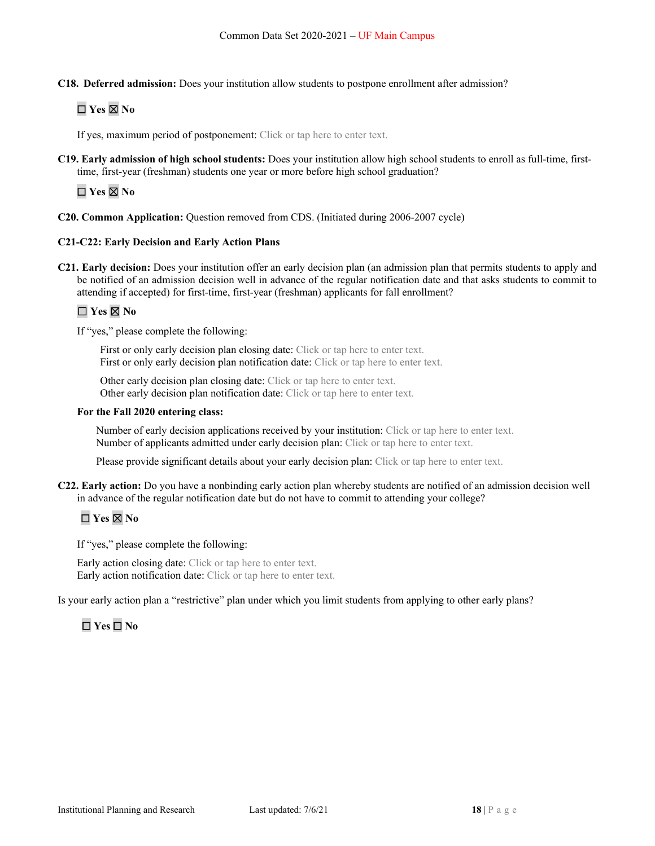**C18. Deferred admission:** Does your institution allow students to postpone enrollment after admission?

# ☐ **Yes** ☒ **No**

If yes, maximum period of postponement: Click or tap here to enter text.

**C19. Early admission of high school students:** Does your institution allow high school students to enroll as full-time, firsttime, first-year (freshman) students one year or more before high school graduation?

☐ **Yes** ☒ **No** 

**C20. Common Application:** Question removed from CDS. (Initiated during 2006-2007 cycle)

### **C21-C22: Early Decision and Early Action Plans**

**C21. Early decision:** Does your institution offer an early decision plan (an admission plan that permits students to apply and be notified of an admission decision well in advance of the regular notification date and that asks students to commit to attending if accepted) for first-time, first-year (freshman) applicants for fall enrollment?

## ☐ **Yes** ☒ **No**

If "yes," please complete the following:

First or only early decision plan closing date: Click or tap here to enter text. First or only early decision plan notification date: Click or tap here to enter text.

Other early decision plan closing date: Click or tap here to enter text. Other early decision plan notification date: Click or tap here to enter text.

#### **For the Fall 2020 entering class:**

Number of early decision applications received by your institution: Click or tap here to enter text. Number of applicants admitted under early decision plan: Click or tap here to enter text.

Please provide significant details about your early decision plan: Click or tap here to enter text.

**C22. Early action:** Do you have a nonbinding early action plan whereby students are notified of an admission decision well in advance of the regular notification date but do not have to commit to attending your college?

# ☐ **Yes** ☒ **No**

If "yes," please complete the following:

Early action closing date: Click or tap here to enter text. Early action notification date: Click or tap here to enter text.

Is your early action plan a "restrictive" plan under which you limit students from applying to other early plans?

# ☐ **Yes** ☐ **No**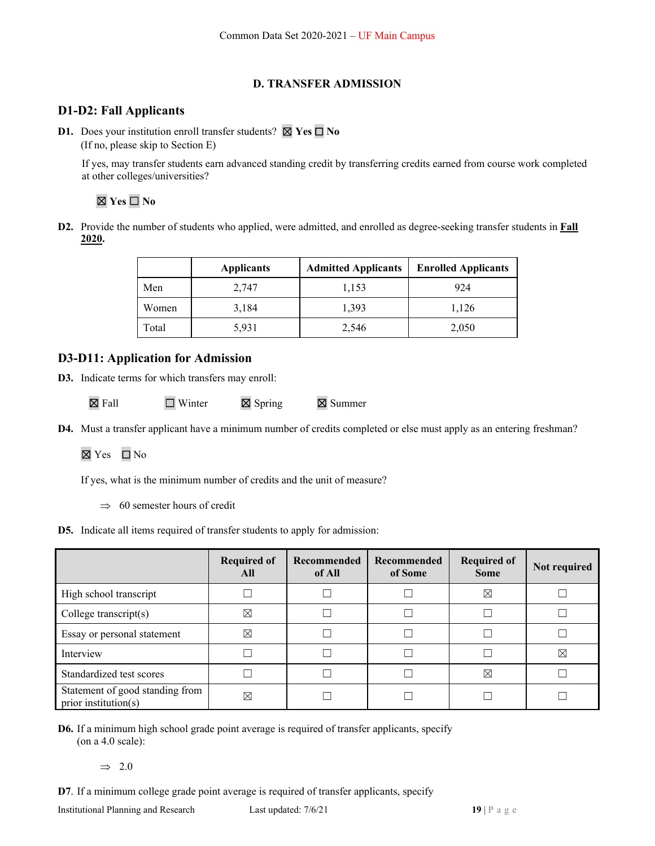## **D. TRANSFER ADMISSION**

## **D1-D2: Fall Applicants**

**D1.** Does your institution enroll transfer students? ☒ **Yes** ☐ **No** (If no, please skip to Section E)

 If yes, may transfer students earn advanced standing credit by transferring credits earned from course work completed at other colleges/universities?

# ☒ **Yes** ☐ **No**

**D2.** Provide the number of students who applied, were admitted, and enrolled as degree-seeking transfer students in **Fall 2020.** 

|       | <b>Applicants</b> | <b>Admitted Applicants</b> | <b>Enrolled Applicants</b> |
|-------|-------------------|----------------------------|----------------------------|
| Men   | 2,747             | 1,153                      | 924                        |
| Women | 3,184             | 1.393                      | 1,126                      |
| Total | 5,931             | 2,546                      | 2,050                      |

## **D3-D11: Application for Admission**

**D3.** Indicate terms for which transfers may enroll:

|  | $\boxtimes$ Fall | $\Box$ Winter | $\boxtimes$ Spring | $\boxtimes$ Summer |
|--|------------------|---------------|--------------------|--------------------|
|--|------------------|---------------|--------------------|--------------------|

**D4.** Must a transfer applicant have a minimum number of credits completed or else must apply as an entering freshman?

☒ Yes ☐ No

If yes, what is the minimum number of credits and the unit of measure?

 $\implies$  60 semester hours of credit

**D5.** Indicate all items required of transfer students to apply for admission:

|                                                         | <b>Required of</b><br>All | Recommended<br>of All | Recommended<br>of Some | <b>Required of</b><br><b>Some</b> | Not required |
|---------------------------------------------------------|---------------------------|-----------------------|------------------------|-----------------------------------|--------------|
| High school transcript                                  |                           |                       |                        | ⊠                                 |              |
| College transcript $(s)$                                | ⊠                         |                       |                        |                                   |              |
| Essay or personal statement                             | ⊠                         |                       |                        |                                   |              |
| Interview                                               |                           |                       |                        |                                   | ⊠            |
| Standardized test scores                                |                           |                       |                        | ⊠                                 |              |
| Statement of good standing from<br>prior institution(s) | $\boxtimes$               |                       |                        |                                   |              |

**D6.** If a minimum high school grade point average is required of transfer applicants, specify (on a 4.0 scale):

 $\Rightarrow$  2.0

**D7**. If a minimum college grade point average is required of transfer applicants, specify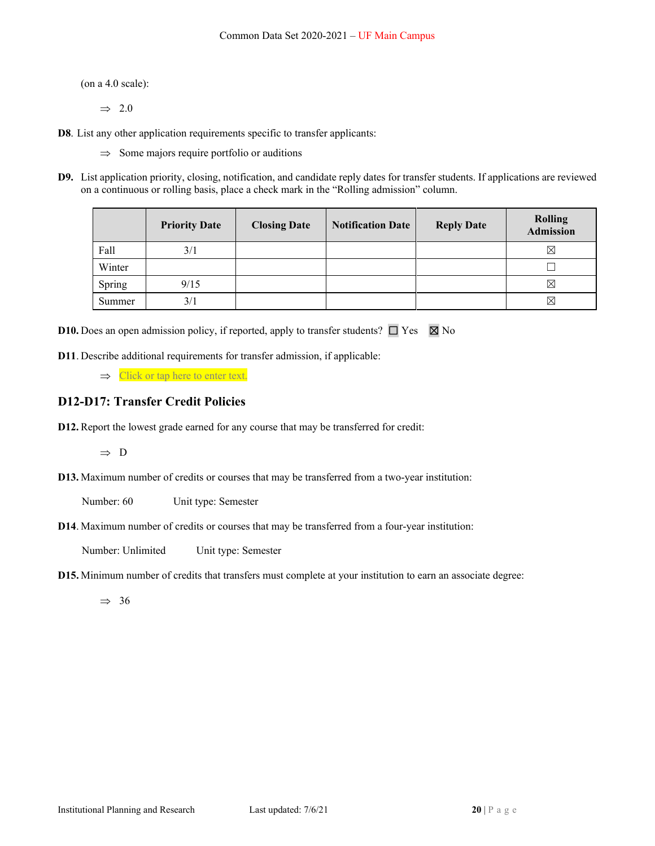(on a 4.0 scale):

 $\Rightarrow$  2.0

**D8**. List any other application requirements specific to transfer applicants:

 $\Rightarrow$  Some majors require portfolio or auditions

**D9.** List application priority, closing, notification, and candidate reply dates for transfer students. If applications are reviewed on a continuous or rolling basis, place a check mark in the "Rolling admission" column.

|        | <b>Priority Date</b> | <b>Closing Date</b> | <b>Notification Date</b> | <b>Reply Date</b> | <b>Rolling</b><br><b>Admission</b> |
|--------|----------------------|---------------------|--------------------------|-------------------|------------------------------------|
| Fall   | 3/1                  |                     |                          |                   | ⊠                                  |
| Winter |                      |                     |                          |                   |                                    |
| Spring | 9/15                 |                     |                          |                   | $\boxtimes$                        |
| Summer | 3/1                  |                     |                          |                   | $\boxtimes$                        |

**D10.** Does an open admission policy, if reported, apply to transfer students?  $\Box$  Yes  $\boxtimes$  No

**D11**. Describe additional requirements for transfer admission, if applicable:

 $\Rightarrow$  Click or tap here to enter text.

### **D12-D17: Transfer Credit Policies**

**D12.** Report the lowest grade earned for any course that may be transferred for credit:

 $\Rightarrow$  D

**D13.** Maximum number of credits or courses that may be transferred from a two-year institution:

Number: 60 Unit type: Semester

**D14**. Maximum number of credits or courses that may be transferred from a four-year institution:

Number: Unlimited Unit type: Semester

**D15.** Minimum number of credits that transfers must complete at your institution to earn an associate degree:

 $\Rightarrow$  36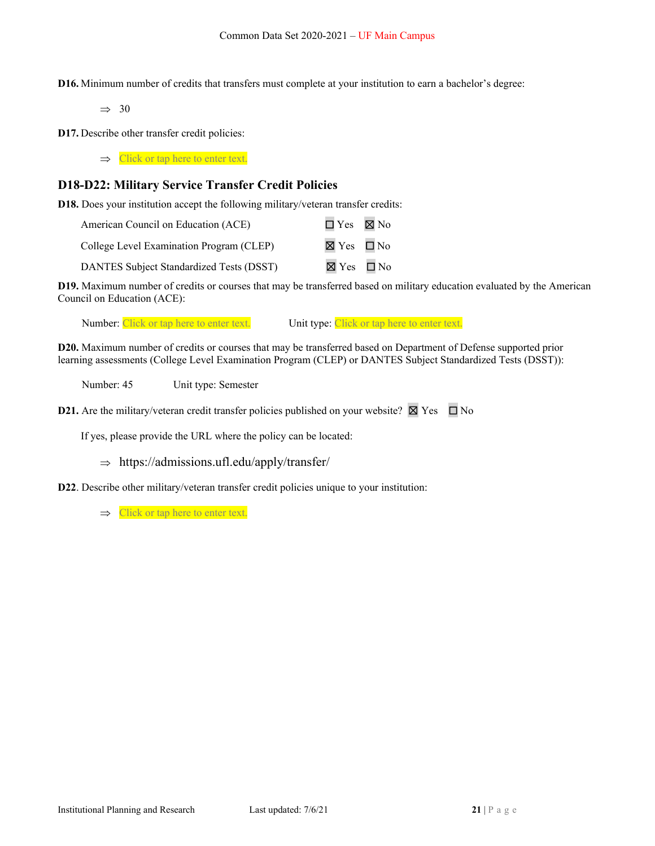**D16.** Minimum number of credits that transfers must complete at your institution to earn a bachelor's degree:

 $\Rightarrow$  30

**D17.** Describe other transfer credit policies:

 $\Rightarrow$  Click or tap here to enter text.

### **D18-D22: Military Service Transfer Credit Policies**

**D18.** Does your institution accept the following military/veteran transfer credits:

| American Council on Education (ACE)      | $\Box$ Yes $\boxtimes$ No |  |
|------------------------------------------|---------------------------|--|
| College Level Examination Program (CLEP) | $\boxtimes$ Yes $\Box$ No |  |
| DANTES Subject Standardized Tests (DSST) | $\boxtimes$ Yes $\Box$ No |  |

**D19.** Maximum number of credits or courses that may be transferred based on military education evaluated by the American Council on Education (ACE):

Number: Click or tap here to enter text. Unit type: Click or tap here to enter text.

**D20.** Maximum number of credits or courses that may be transferred based on Department of Defense supported prior learning assessments (College Level Examination Program (CLEP) or DANTES Subject Standardized Tests (DSST)):

Number: 45 Unit type: Semester

**D21.** Are the military/veteran credit transfer policies published on your website?  $\boxtimes$  Yes  $\Box$  No

If yes, please provide the URL where the policy can be located:

 $\Rightarrow$  https://admissions.ufl.edu/apply/transfer/

**D22**. Describe other military/veteran transfer credit policies unique to your institution:

 $\Rightarrow$  Click or tap here to enter text.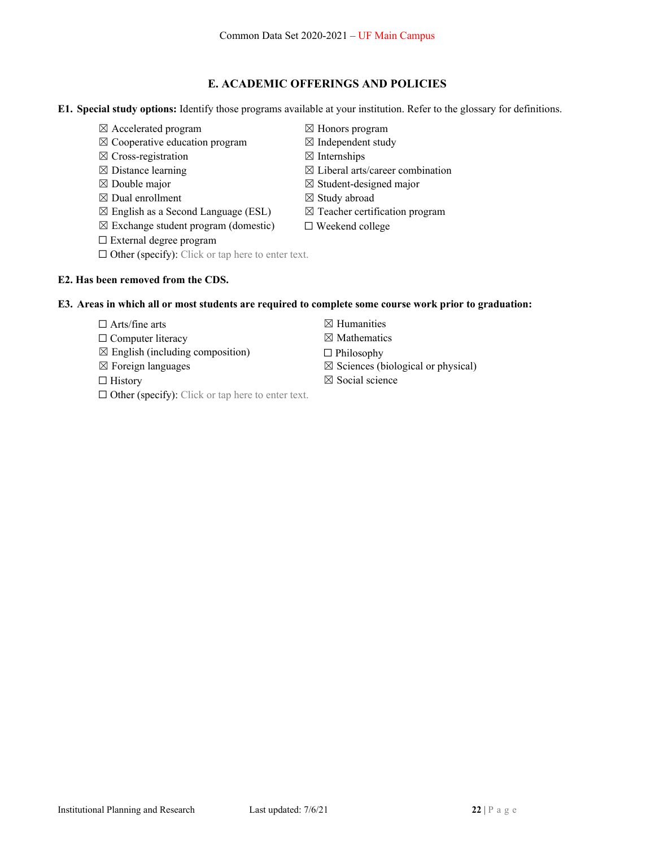### **E. ACADEMIC OFFERINGS AND POLICIES**

**E1. Special study options:** Identify those programs available at your institution. Refer to the glossary for definitions.

- ☒ Accelerated program ☒ Honors program
- $\boxtimes$  Cooperative education program  $\boxtimes$  Independent study
- $\boxtimes$  Cross-registration  $\boxtimes$  Internships
- 
- 
- $\boxtimes$  Dual enrollment  $\boxtimes$  Study abroad
- $\boxtimes$  English as a Second Language (ESL)  $\boxtimes$  Teacher certification program
- $\boxtimes$  Exchange student program (domestic)  $\Box$  Weekend college
- ☐ External degree program
- $\Box$  Other (specify): Click or tap here to enter text.

### **E2. Has been removed from the CDS.**

#### **E3. Areas in which all or most students are required to complete some course work prior to graduation:**

- $\Box$  Arts/fine arts  $\Box$  Humanities
- $\Box$  Computer literacy  $\boxtimes$  Mathematics
- $\boxtimes$  English (including composition)  $\Box$  Philosophy
- 
- 
- ☐ Other (specify): Click or tap here to enter text.
- 
- 
- 
- $\boxtimes$  Distance learning  $\boxtimes$  Liberal arts/career combination
- $\boxtimes$  Double major  $\boxtimes$  Student-designed major
	-
	-
	- -
		-
		-
- $\boxtimes$  Foreign languages  $\boxtimes$  Sciences (biological or physical)
	-
- 
- $\Box$  History  $\boxtimes$  Social science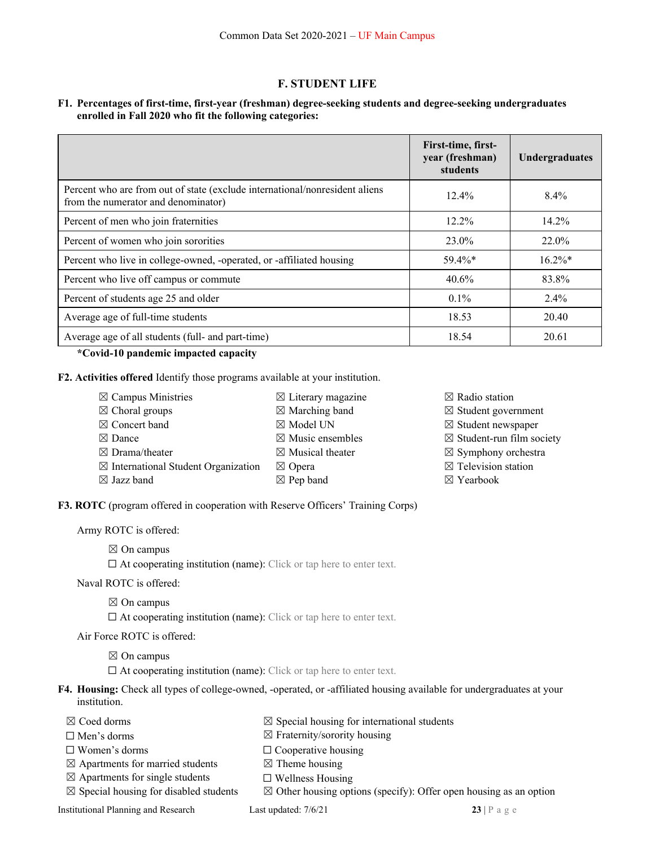### **F. STUDENT LIFE**

### **F1. Percentages of first-time, first-year (freshman) degree-seeking students and degree-seeking undergraduates enrolled in Fall 2020 who fit the following categories:**

|                                                                                                                    | First-time, first-<br>year (freshman)<br>students | Undergraduates |
|--------------------------------------------------------------------------------------------------------------------|---------------------------------------------------|----------------|
| Percent who are from out of state (exclude international/nonresident aliens<br>from the numerator and denominator) | $12.4\%$                                          | $8.4\%$        |
| Percent of men who join fraternities                                                                               | $12.2\%$                                          | $14.2\%$       |
| Percent of women who join sororities                                                                               | 23.0%                                             | 22.0%          |
| Percent who live in college-owned, -operated, or -affiliated housing                                               | $59.4\%*$                                         | $16.2\%*$      |
| Percent who live off campus or commute                                                                             | $40.6\%$                                          | 83.8%          |
| Percent of students age 25 and older                                                                               | $0.1\%$                                           | $2.4\%$        |
| Average age of full-time students                                                                                  | 18.53                                             | 20.40          |
| Average age of all students (full- and part-time)                                                                  | 18.54                                             | 20.61          |

 **\*Covid-10 pandemic impacted capacity** 

**F2. Activities offered** Identify those programs available at your institution.

| $\boxtimes$ Campus Ministries                  | $\boxtimes$ Literary magazine | $\boxtimes$ Radio station            |
|------------------------------------------------|-------------------------------|--------------------------------------|
| $\boxtimes$ Choral groups                      | $\boxtimes$ Marching band     | $\boxtimes$ Student government       |
| $\boxtimes$ Concert band                       | $\boxtimes$ Model UN          | $\boxtimes$ Student newspaper        |
| $\boxtimes$ Dance                              | $\boxtimes$ Music ensembles   | $\boxtimes$ Student-run film society |
| $\boxtimes$ Drama/theater                      | $\boxtimes$ Musical theater   | $\boxtimes$ Symphony orchestra       |
| $\boxtimes$ International Student Organization | $\boxtimes$ Opera             | $\boxtimes$ Television station       |
| $\boxtimes$ Jazz band                          | $\boxtimes$ Pep band          | $\boxtimes$ Yearbook                 |
|                                                |                               |                                      |

**F3. ROTC** (program offered in cooperation with Reserve Officers' Training Corps)

Army ROTC is offered:

 $\boxtimes$  On campus

 $\Box$  At cooperating institution (name): Click or tap here to enter text.

Naval ROTC is offered:

 $\boxtimes$  On campus

 $\Box$  At cooperating institution (name): Click or tap here to enter text.

Air Force ROTC is offered:

 $\boxtimes$  On campus

 $\Box$  At cooperating institution (name): Click or tap here to enter text.

- **F4. Housing:** Check all types of college-owned, -operated, or -affiliated housing available for undergraduates at your institution.
	-
	- $\square$  Men's dorms  $\square$  Fraternity/sorority housing
		-
	- $\boxtimes$  Apartments for married students  $\boxtimes$  Theme housing
	- $\boxtimes$  Apartments for single students  $\Box$  Wellness Housing
	- $\boxtimes$  Special housing for disabled students  $\boxtimes$  Other housing options (specify): Offer open housing as an option

**Institutional Planning and Research Last updated: 7/6/21 23 | P a g e** 

- $\boxtimes$  Coed dorms  $\boxtimes$  Special housing for international students
	-
- ☐ Women's dorms ☐ Cooperative housing
	- -
- 
-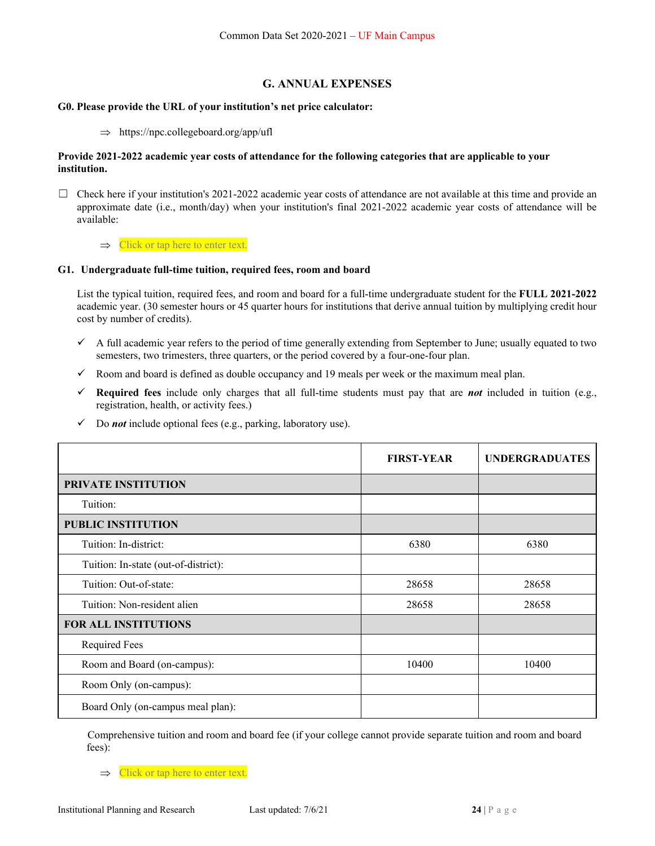### **G. ANNUAL EXPENSES**

#### **G0. Please provide the URL of your institution's net price calculator:**

 $\Rightarrow$  https://npc.collegeboard.org/app/ufl

#### **Provide 2021-2022 academic year costs of attendance for the following categories that are applicable to your institution.**

 $\Box$  Check here if your institution's 2021-2022 academic year costs of attendance are not available at this time and provide an approximate date (i.e., month/day) when your institution's final 2021-2022 academic year costs of attendance will be available:

 $\Rightarrow$  Click or tap here to enter text.

#### **G1. Undergraduate full-time tuition, required fees, room and board**

List the typical tuition, required fees, and room and board for a full-time undergraduate student for the **FULL 2021-2022**  academic year. (30 semester hours or 45 quarter hours for institutions that derive annual tuition by multiplying credit hour cost by number of credits).

- A full academic year refers to the period of time generally extending from September to June; usually equated to two semesters, two trimesters, three quarters, or the period covered by a four-one-four plan.
- $\checkmark$  Room and board is defined as double occupancy and 19 meals per week or the maximum meal plan.
- **Required fees** include only charges that all full-time students must pay that are *not* included in tuition (e.g., registration, health, or activity fees.)
- Do *not* include optional fees (e.g., parking, laboratory use).

|                                      | <b>FIRST-YEAR</b> | <b>UNDERGRADUATES</b> |
|--------------------------------------|-------------------|-----------------------|
| PRIVATE INSTITUTION                  |                   |                       |
| Tuition:                             |                   |                       |
| <b>PUBLIC INSTITUTION</b>            |                   |                       |
| Tuition: In-district:                | 6380              | 6380                  |
| Tuition: In-state (out-of-district): |                   |                       |
| Tuition: Out-of-state:               | 28658             | 28658                 |
| Tuition: Non-resident alien          | 28658             | 28658                 |
| <b>FOR ALL INSTITUTIONS</b>          |                   |                       |
| <b>Required Fees</b>                 |                   |                       |
| Room and Board (on-campus):          | 10400             | 10400                 |
| Room Only (on-campus):               |                   |                       |
| Board Only (on-campus meal plan):    |                   |                       |

Comprehensive tuition and room and board fee (if your college cannot provide separate tuition and room and board fees):

 $\Rightarrow$  Click or tap here to enter text.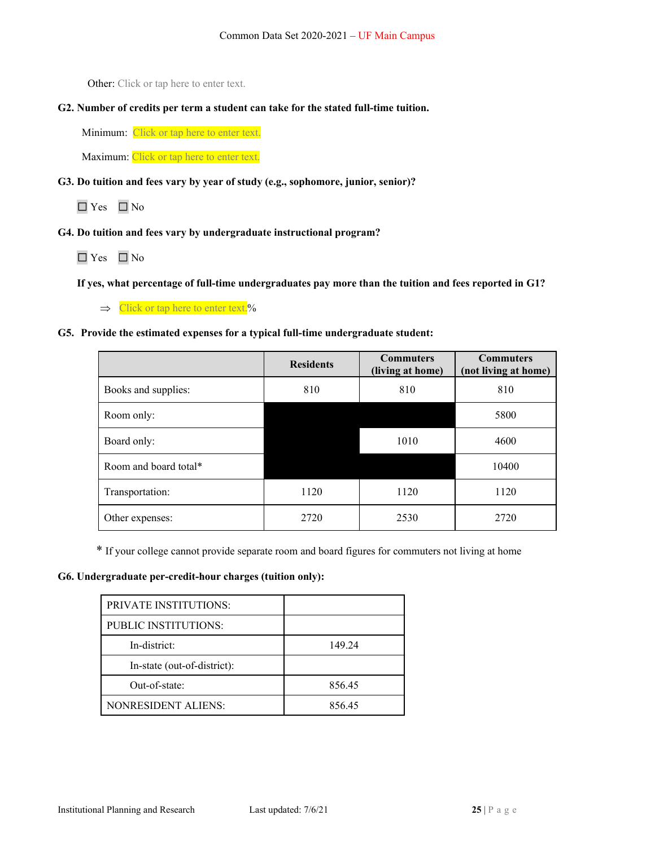Other: Click or tap here to enter text.

**G2. Number of credits per term a student can take for the stated full-time tuition.**

Minimum: Click or tap here to enter text.

Maximum: Click or tap here to enter text.

**G3. Do tuition and fees vary by year of study (e.g., sophomore, junior, senior)?** 

☐ Yes ☐ No

**G4. Do tuition and fees vary by undergraduate instructional program?** 

☐ Yes ☐ No

 **If yes, what percentage of full-time undergraduates pay more than the tuition and fees reported in G1?** 

 $\Rightarrow$  Click or tap here to enter text.%

### **G5. Provide the estimated expenses for a typical full-time undergraduate student:**

|                       | <b>Residents</b> | <b>Commuters</b><br>(living at home) | <b>Commuters</b><br>(not living at home) |
|-----------------------|------------------|--------------------------------------|------------------------------------------|
| Books and supplies:   | 810              | 810                                  | 810                                      |
| Room only:            |                  |                                      | 5800                                     |
| Board only:           |                  | 1010                                 | 4600                                     |
| Room and board total* |                  |                                      | 10400                                    |
| Transportation:       | 1120             | 1120                                 | 1120                                     |
| Other expenses:       | 2720             | 2530                                 | 2720                                     |

\* If your college cannot provide separate room and board figures for commuters not living at home

### **G6. Undergraduate per-credit-hour charges (tuition only):**

| <b>PRIVATE INSTITUTIONS:</b> |        |
|------------------------------|--------|
| PUBLIC INSTITUTIONS:         |        |
| In-district:                 | 149.24 |
| In-state (out-of-district):  |        |
| Out-of-state:                | 856.45 |
| <b>NONRESIDENT ALIENS:</b>   | 856.45 |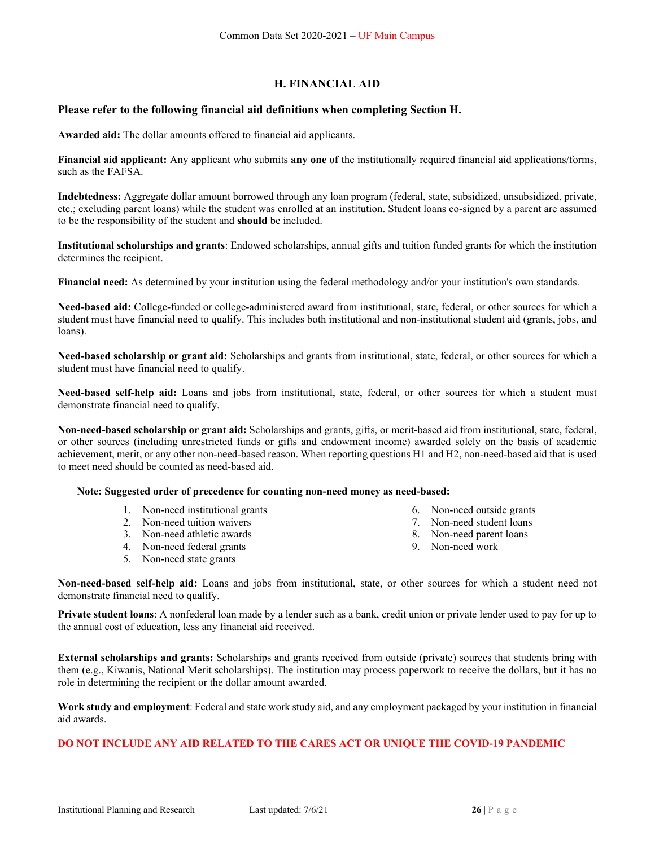## **H. FINANCIAL AID**

### **Please refer to the following financial aid definitions when completing Section H.**

**Awarded aid:** The dollar amounts offered to financial aid applicants.

**Financial aid applicant:** Any applicant who submits **any one of** the institutionally required financial aid applications/forms, such as the FAFSA.

**Indebtedness:** Aggregate dollar amount borrowed through any loan program (federal, state, subsidized, unsubsidized, private, etc.; excluding parent loans) while the student was enrolled at an institution. Student loans co-signed by a parent are assumed to be the responsibility of the student and **should** be included.

**Institutional scholarships and grants**: Endowed scholarships, annual gifts and tuition funded grants for which the institution determines the recipient.

**Financial need:** As determined by your institution using the federal methodology and/or your institution's own standards.

**Need-based aid:** College-funded or college-administered award from institutional, state, federal, or other sources for which a student must have financial need to qualify. This includes both institutional and non-institutional student aid (grants, jobs, and loans).

**Need-based scholarship or grant aid:** Scholarships and grants from institutional, state, federal, or other sources for which a student must have financial need to qualify.

**Need-based self-help aid:** Loans and jobs from institutional, state, federal, or other sources for which a student must demonstrate financial need to qualify.

**Non-need-based scholarship or grant aid:** Scholarships and grants, gifts, or merit-based aid from institutional, state, federal, or other sources (including unrestricted funds or gifts and endowment income) awarded solely on the basis of academic achievement, merit, or any other non-need-based reason. When reporting questions H1 and H2, non-need-based aid that is used to meet need should be counted as need-based aid.

#### **Note: Suggested order of precedence for counting non-need money as need-based:**

- 1. Non-need institutional grants
- 2. Non-need tuition waivers
- 3. Non-need athletic awards
- 4. Non-need federal grants
- 5. Non-need state grants
- 6. Non-need outside grants
- 7. Non-need student loans
- 8. Non-need parent loans
- 9. Non-need work

**Non-need-based self-help aid:** Loans and jobs from institutional, state, or other sources for which a student need not demonstrate financial need to qualify.

**Private student loans**: A nonfederal loan made by a lender such as a bank, credit union or private lender used to pay for up to the annual cost of education, less any financial aid received.

**External scholarships and grants:** Scholarships and grants received from outside (private) sources that students bring with them (e.g., Kiwanis, National Merit scholarships). The institution may process paperwork to receive the dollars, but it has no role in determining the recipient or the dollar amount awarded.

**Work study and employment**: Federal and state work study aid, and any employment packaged by your institution in financial aid awards.

### **DO NOT INCLUDE ANY AID RELATED TO THE CARES ACT OR UNIQUE THE COVID-19 PANDEMIC**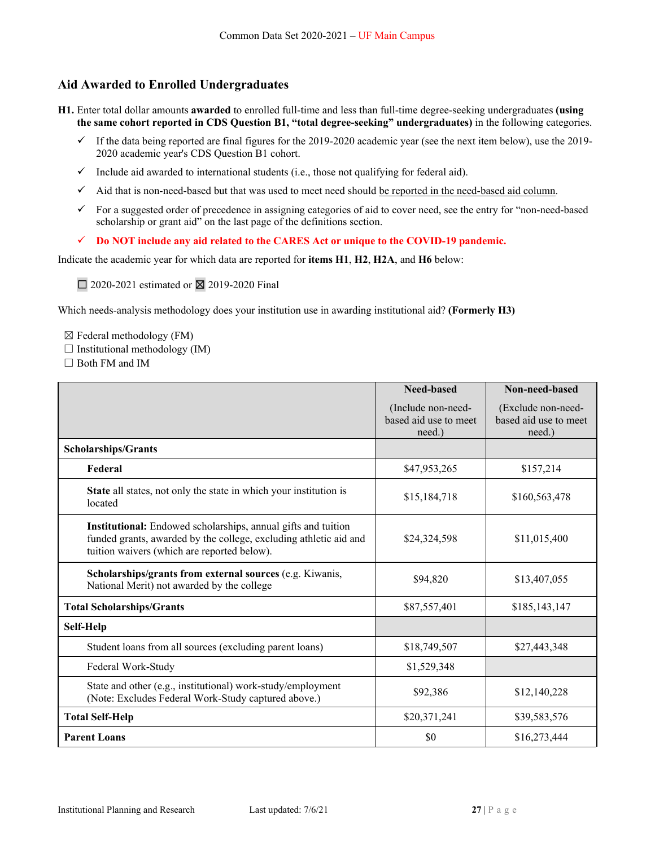## **Aid Awarded to Enrolled Undergraduates**

- **H1.** Enter total dollar amounts **awarded** to enrolled full-time and less than full-time degree-seeking undergraduates **(using the same cohort reported in CDS Question B1, "total degree-seeking" undergraduates)** in the following categories.
	- $\checkmark$  If the data being reported are final figures for the 2019-2020 academic year (see the next item below), use the 2019-2020 academic year's CDS Question B1 cohort.
	- $\checkmark$  Include aid awarded to international students (i.e., those not qualifying for federal aid).
	- $\checkmark$  Aid that is non-need-based but that was used to meet need should be reported in the need-based aid column.
	- $\checkmark$  For a suggested order of precedence in assigning categories of aid to cover need, see the entry for "non-need-based" scholarship or grant aid" on the last page of the definitions section.
	- **Do NOT include any aid related to the CARES Act or unique to the COVID-19 pandemic.**

Indicate the academic year for which data are reported for **items H1**, **H2**, **H2A**, and **H6** below:

 $\Box$  2020-2021 estimated or  $\boxtimes$  2019-2020 Final

Which needs-analysis methodology does your institution use in awarding institutional aid? **(Formerly H3)** 

 $\boxtimes$  Federal methodology (FM)

 $\Box$  Institutional methodology (IM)

□ Both FM and IM

|                                                                                                                                                                                   | <b>Need-based</b>                                     | Non-need-based                                        |
|-----------------------------------------------------------------------------------------------------------------------------------------------------------------------------------|-------------------------------------------------------|-------------------------------------------------------|
|                                                                                                                                                                                   | (Include non-need-<br>based aid use to meet<br>need.) | (Exclude non-need-<br>based aid use to meet<br>need.) |
| <b>Scholarships/Grants</b>                                                                                                                                                        |                                                       |                                                       |
| Federal                                                                                                                                                                           | \$47,953,265                                          | \$157,214                                             |
| State all states, not only the state in which your institution is<br>located                                                                                                      | \$15,184,718                                          | \$160,563,478                                         |
| Institutional: Endowed scholarships, annual gifts and tuition<br>funded grants, awarded by the college, excluding athletic aid and<br>tuition waivers (which are reported below). | \$24,324,598                                          | \$11,015,400                                          |
| Scholarships/grants from external sources (e.g. Kiwanis,<br>National Merit) not awarded by the college                                                                            | \$94,820                                              | \$13,407,055                                          |
| <b>Total Scholarships/Grants</b>                                                                                                                                                  | \$87,557,401                                          | \$185,143,147                                         |
| Self-Help                                                                                                                                                                         |                                                       |                                                       |
| Student loans from all sources (excluding parent loans)                                                                                                                           | \$18,749,507                                          | \$27,443,348                                          |
| Federal Work-Study                                                                                                                                                                | \$1,529,348                                           |                                                       |
| State and other (e.g., institutional) work-study/employment<br>(Note: Excludes Federal Work-Study captured above.)                                                                | \$92,386                                              | \$12,140,228                                          |
| <b>Total Self-Help</b>                                                                                                                                                            | \$20,371,241                                          | \$39,583,576                                          |
| <b>Parent Loans</b>                                                                                                                                                               | \$0                                                   | \$16,273,444                                          |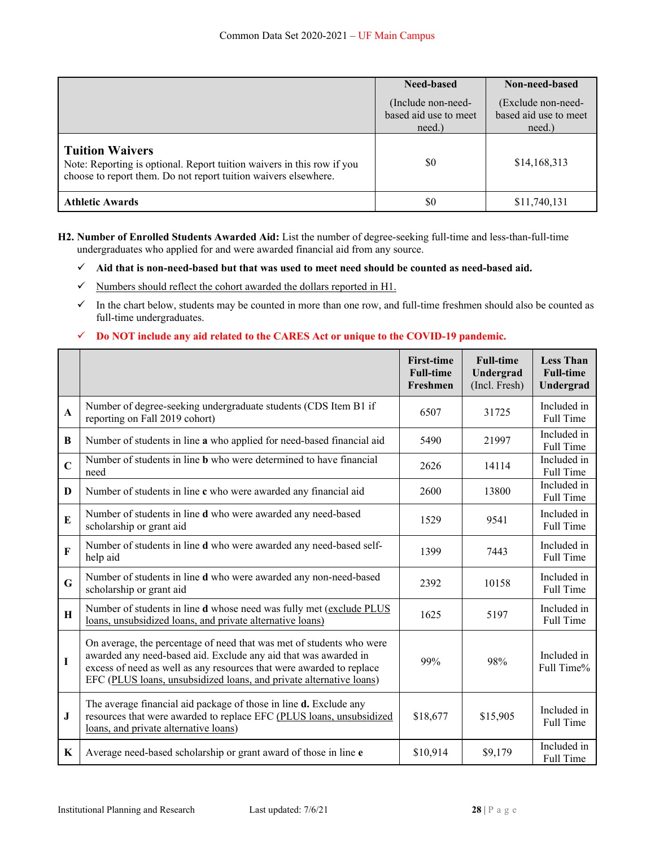|                                                                                                                                                                     | Need-based                                            | Non-need-based                                        |
|---------------------------------------------------------------------------------------------------------------------------------------------------------------------|-------------------------------------------------------|-------------------------------------------------------|
|                                                                                                                                                                     | (Include non-need-<br>based aid use to meet<br>need.) | (Exclude non-need-<br>based aid use to meet<br>need.) |
| <b>Tuition Waivers</b><br>Note: Reporting is optional. Report tuition waivers in this row if you<br>choose to report them. Do not report tuition waivers elsewhere. | \$0                                                   | \$14,168,313                                          |
| <b>Athletic Awards</b>                                                                                                                                              | \$0                                                   | \$11,740,131                                          |

**H2. Number of Enrolled Students Awarded Aid:** List the number of degree-seeking full-time and less-than-full-time undergraduates who applied for and were awarded financial aid from any source.

- $\checkmark$  Numbers should reflect the cohort awarded the dollars reported in H1.
- $\checkmark$  In the chart below, students may be counted in more than one row, and full-time freshmen should also be counted as full-time undergraduates.

### **Do NOT include any aid related to the CARES Act or unique to the COVID-19 pandemic.**

|                |                                                                                                                                                                                                                                                                                        | <b>First-time</b><br><b>Full-time</b><br>Freshmen | <b>Full-time</b><br>Undergrad<br>(Incl. Fresh) | <b>Less Than</b><br><b>Full-time</b><br>Undergrad |
|----------------|----------------------------------------------------------------------------------------------------------------------------------------------------------------------------------------------------------------------------------------------------------------------------------------|---------------------------------------------------|------------------------------------------------|---------------------------------------------------|
| $\mathbf{A}$   | Number of degree-seeking undergraduate students (CDS Item B1 if<br>reporting on Fall 2019 cohort)                                                                                                                                                                                      | 6507                                              | 31725                                          | Included in<br>Full Time                          |
| B              | Number of students in line a who applied for need-based financial aid                                                                                                                                                                                                                  | 5490                                              | 21997                                          | Included in<br>Full Time                          |
| $\overline{C}$ | Number of students in line <b>b</b> who were determined to have financial<br>need                                                                                                                                                                                                      | 2626                                              | 14114                                          | Included in<br>Full Time                          |
| $\bf{D}$       | Number of students in line c who were awarded any financial aid                                                                                                                                                                                                                        | 2600                                              | 13800                                          | Included in<br>Full Time                          |
| $\bf{E}$       | Number of students in line d who were awarded any need-based<br>scholarship or grant aid                                                                                                                                                                                               | 1529                                              | 9541                                           | Included in<br>Full Time                          |
| $\mathbf F$    | Number of students in line d who were awarded any need-based self-<br>help aid                                                                                                                                                                                                         | 1399                                              | 7443                                           | Included in<br>Full Time                          |
| G              | Number of students in line d who were awarded any non-need-based<br>scholarship or grant aid                                                                                                                                                                                           | 2392                                              | 10158                                          | Included in<br>Full Time                          |
| H              | Number of students in line d whose need was fully met (exclude PLUS<br>loans, unsubsidized loans, and private alternative loans)                                                                                                                                                       | 1625                                              | 5197                                           | Included in<br>Full Time                          |
| I              | On average, the percentage of need that was met of students who were<br>awarded any need-based aid. Exclude any aid that was awarded in<br>excess of need as well as any resources that were awarded to replace<br>EFC (PLUS loans, unsubsidized loans, and private alternative loans) | 99%                                               | 98%                                            | Included in<br>Full Time%                         |
| J              | The average financial aid package of those in line <b>d.</b> Exclude any<br>resources that were awarded to replace EFC (PLUS loans, unsubsidized<br>loans, and private alternative loans)                                                                                              | \$18,677                                          | \$15,905                                       | Included in<br>Full Time                          |
| K              | Average need-based scholarship or grant award of those in line e                                                                                                                                                                                                                       | \$10,914                                          | \$9,179                                        | Included in<br>Full Time                          |

**Aid that is non-need-based but that was used to meet need should be counted as need-based aid.**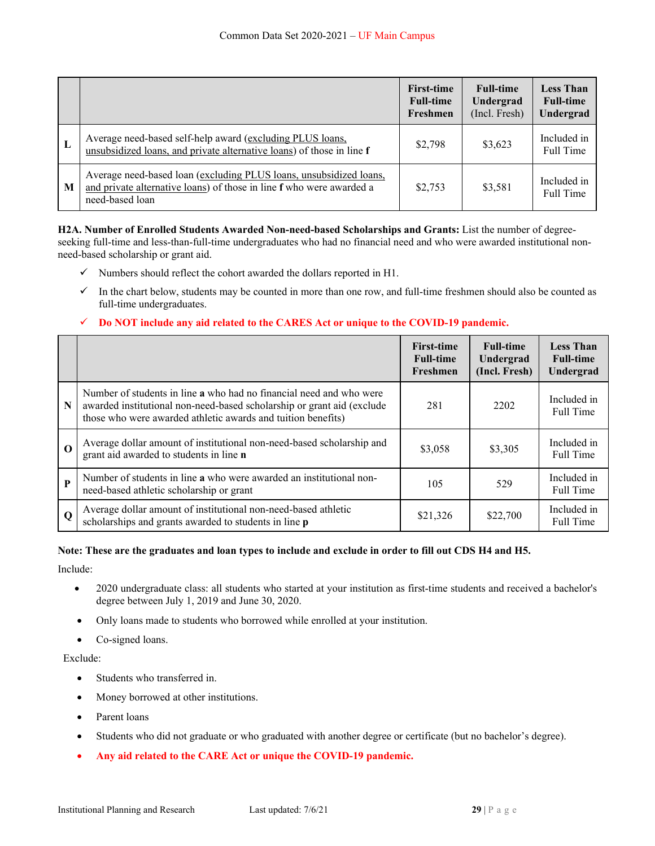|   |                                                                                                                                                               | <b>First-time</b><br><b>Full-time</b><br>Freshmen | <b>Full-time</b><br>Undergrad<br>(Incl. Fresh) | <b>Less Than</b><br><b>Full-time</b><br>Undergrad |
|---|---------------------------------------------------------------------------------------------------------------------------------------------------------------|---------------------------------------------------|------------------------------------------------|---------------------------------------------------|
| L | Average need-based self-help award (excluding PLUS loans,<br>unsubsidized loans, and private alternative loans) of those in line f                            | \$2,798                                           | \$3,623                                        | Included in<br>Full Time                          |
| M | Average need-based loan (excluding PLUS loans, unsubsidized loans,<br>and private alternative loans) of those in line f who were awarded a<br>need-based loan | \$2,753                                           | \$3,581                                        | Included in<br>Full Time                          |

**H2A. Number of Enrolled Students Awarded Non-need-based Scholarships and Grants:** List the number of degreeseeking full-time and less-than-full-time undergraduates who had no financial need and who were awarded institutional nonneed-based scholarship or grant aid.

- $\checkmark$  Numbers should reflect the cohort awarded the dollars reported in H1.
- $\checkmark$  In the chart below, students may be counted in more than one row, and full-time freshmen should also be counted as full-time undergraduates.

### **Do NOT include any aid related to the CARES Act or unique to the COVID-19 pandemic.**

|             |                                                                                                                                                                                                               | <b>First-time</b><br><b>Full-time</b><br>Freshmen | <b>Full-time</b><br>Undergrad<br>(Incl. Fresh) | <b>Less Than</b><br><b>Full-time</b><br>Undergrad |
|-------------|---------------------------------------------------------------------------------------------------------------------------------------------------------------------------------------------------------------|---------------------------------------------------|------------------------------------------------|---------------------------------------------------|
| N           | Number of students in line a who had no financial need and who were<br>awarded institutional non-need-based scholarship or grant aid (exclude<br>those who were awarded athletic awards and tuition benefits) | 281                                               | 2202                                           | Included in<br><b>Full Time</b>                   |
| $\mathbf 0$ | Average dollar amount of institutional non-need-based scholarship and<br>grant aid awarded to students in line n                                                                                              | \$3,058                                           | \$3,305                                        | Included in<br>Full Time                          |
| P           | Number of students in line a who were awarded an institutional non-<br>need-based athletic scholarship or grant                                                                                               | 105                                               | 529                                            | Included in<br><b>Full Time</b>                   |
| $\mathbf 0$ | Average dollar amount of institutional non-need-based athletic<br>scholarships and grants awarded to students in line p                                                                                       | \$21,326                                          | \$22,700                                       | Included in<br><b>Full Time</b>                   |

### **Note: These are the graduates and loan types to include and exclude in order to fill out CDS H4 and H5.**

Include:

- 2020 undergraduate class: all students who started at your institution as first-time students and received a bachelor's degree between July 1, 2019 and June 30, 2020.
- Only loans made to students who borrowed while enrolled at your institution.
- Co-signed loans.

#### Exclude:

- Students who transferred in.
- Money borrowed at other institutions.
- Parent loans
- Students who did not graduate or who graduated with another degree or certificate (but no bachelor's degree).
- **Any aid related to the CARE Act or unique the COVID-19 pandemic.**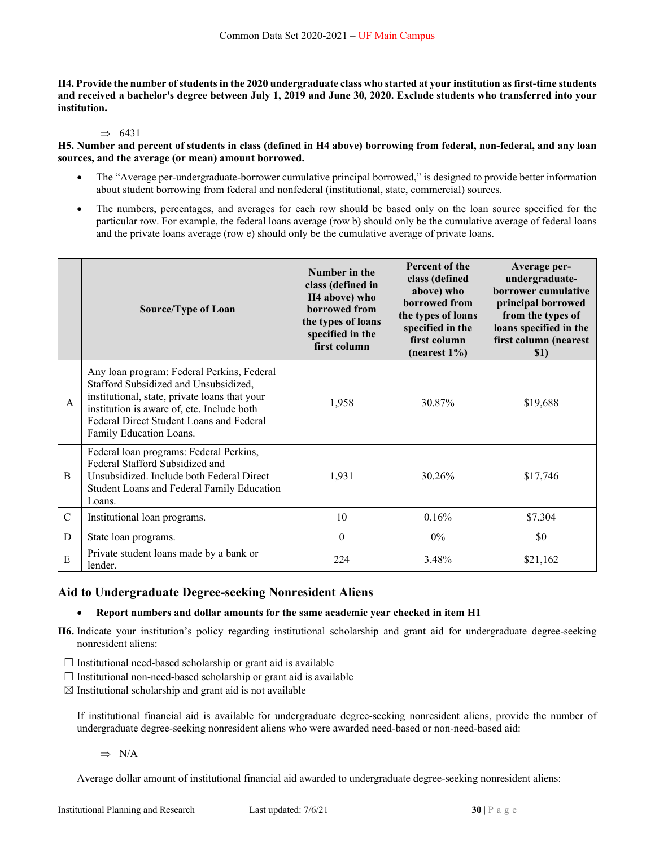**H4. Provide the number of students in the 2020 undergraduate class who started at your institution as first-time students and received a bachelor's degree between July 1, 2019 and June 30, 2020. Exclude students who transferred into your institution.** 

#### $\Rightarrow$  6431

**H5. Number and percent of students in class (defined in H4 above) borrowing from federal, non-federal, and any loan sources, and the average (or mean) amount borrowed.** 

- The "Average per-undergraduate-borrower cumulative principal borrowed," is designed to provide better information about student borrowing from federal and nonfederal (institutional, state, commercial) sources.
- The numbers, percentages, and averages for each row should be based only on the loan source specified for the particular row. For example, the federal loans average (row b) should only be the cumulative average of federal loans and the private loans average (row e) should only be the cumulative average of private loans.

|             | <b>Source/Type of Loan</b>                                                                                                                                                                                                                                | Number in the<br>class (defined in<br>H <sub>4</sub> above) who<br>borrowed from<br>the types of loans<br>specified in the<br>first column | Percent of the<br>class (defined<br>above) who<br>borrowed from<br>the types of loans<br>specified in the<br>first column<br>(nearest $1\%$ ) | Average per-<br>undergraduate-<br>borrower cumulative<br>principal borrowed<br>from the types of<br>loans specified in the<br>first column (nearest<br>\$1) |
|-------------|-----------------------------------------------------------------------------------------------------------------------------------------------------------------------------------------------------------------------------------------------------------|--------------------------------------------------------------------------------------------------------------------------------------------|-----------------------------------------------------------------------------------------------------------------------------------------------|-------------------------------------------------------------------------------------------------------------------------------------------------------------|
| A           | Any loan program: Federal Perkins, Federal<br>Stafford Subsidized and Unsubsidized,<br>institutional, state, private loans that your<br>institution is aware of, etc. Include both<br>Federal Direct Student Loans and Federal<br>Family Education Loans. | 1,958                                                                                                                                      | 30.87%                                                                                                                                        | \$19,688                                                                                                                                                    |
| B           | Federal loan programs: Federal Perkins,<br>Federal Stafford Subsidized and<br>Unsubsidized. Include both Federal Direct<br>Student Loans and Federal Family Education<br>Loans.                                                                           | 1,931                                                                                                                                      | 30.26%                                                                                                                                        | \$17,746                                                                                                                                                    |
| $\mathbf C$ | Institutional loan programs.                                                                                                                                                                                                                              | 10                                                                                                                                         | 0.16%                                                                                                                                         | \$7,304                                                                                                                                                     |
| D           | State loan programs.                                                                                                                                                                                                                                      | $\theta$                                                                                                                                   | $0\%$                                                                                                                                         | \$0                                                                                                                                                         |
| E           | Private student loans made by a bank or<br>lender.                                                                                                                                                                                                        | 224                                                                                                                                        | 3.48%                                                                                                                                         | \$21,162                                                                                                                                                    |

### **Aid to Undergraduate Degree-seeking Nonresident Aliens**

### **Report numbers and dollar amounts for the same academic year checked in item H1**

- **H6.** Indicate your institution's policy regarding institutional scholarship and grant aid for undergraduate degree-seeking nonresident aliens:
- $\Box$  Institutional need-based scholarship or grant aid is available
- $\Box$  Institutional non-need-based scholarship or grant aid is available
- $\boxtimes$  Institutional scholarship and grant aid is not available

If institutional financial aid is available for undergraduate degree-seeking nonresident aliens, provide the number of undergraduate degree-seeking nonresident aliens who were awarded need-based or non-need-based aid:

 $\Rightarrow$  N/A

Average dollar amount of institutional financial aid awarded to undergraduate degree-seeking nonresident aliens: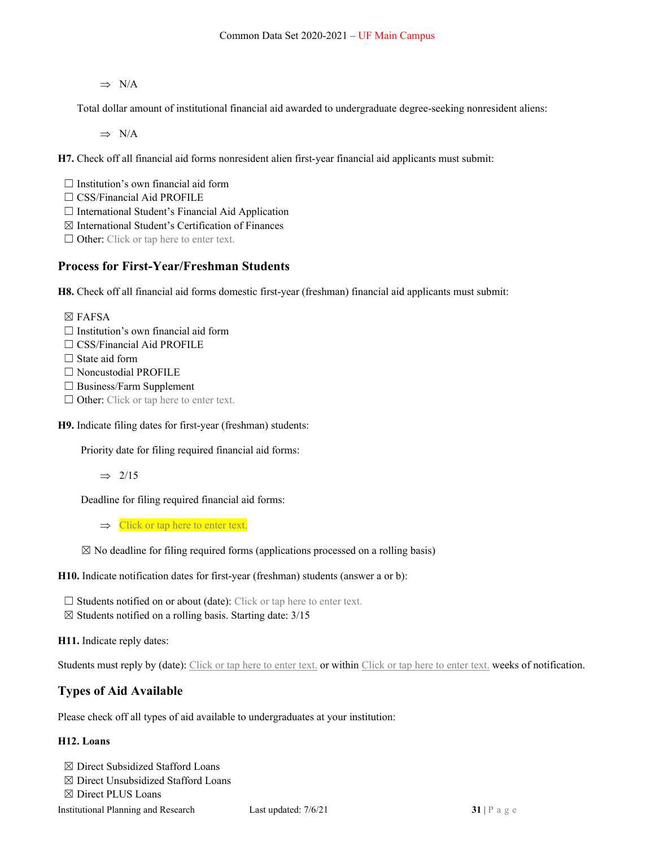$\Rightarrow$  N/A

Total dollar amount of institutional financial aid awarded to undergraduate degree-seeking nonresident aliens:

 $\Rightarrow$  N/A

**H7.** Check off all financial aid forms nonresident alien first-year financial aid applicants must submit:

 $\Box$  Institution's own financial aid form

□ CSS/Financial Aid PROFILE

☐ International Student's Financial Aid Application

 $\boxtimes$  International Student's Certification of Finances

 $\Box$  Other: Click or tap here to enter text.

## **Process for First-Year/Freshman Students**

**H8.** Check off all financial aid forms domestic first-year (freshman) financial aid applicants must submit:

☒ FAFSA  $\Box$  Institution's own financial aid form □ CSS/Financial Aid PROFILE

 $\Box$  State aid form

□ Noncustodial PROFILE

☐ Business/Farm Supplement

□ Other: Click or tap here to enter text.

**H9.** Indicate filing dates for first-year (freshman) students:

Priority date for filing required financial aid forms:

 $\Rightarrow$  2/15

Deadline for filing required financial aid forms:

 $\Rightarrow$  Click or tap here to enter text.

 $\boxtimes$  No deadline for filing required forms (applications processed on a rolling basis)

**H10.** Indicate notification dates for first-year (freshman) students (answer a or b):

 $\Box$  Students notified on or about (date): Click or tap here to enter text.

 $\boxtimes$  Students notified on a rolling basis. Starting date: 3/15

**H11.** Indicate reply dates:

Students must reply by (date): Click or tap here to enter text. or within Click or tap here to enter text. weeks of notification.

## **Types of Aid Available**

Please check off all types of aid available to undergraduates at your institution:

### **H12. Loans**

☒ Direct Subsidized Stafford Loans

☒ Direct Unsubsidized Stafford Loans

☒ Direct PLUS Loans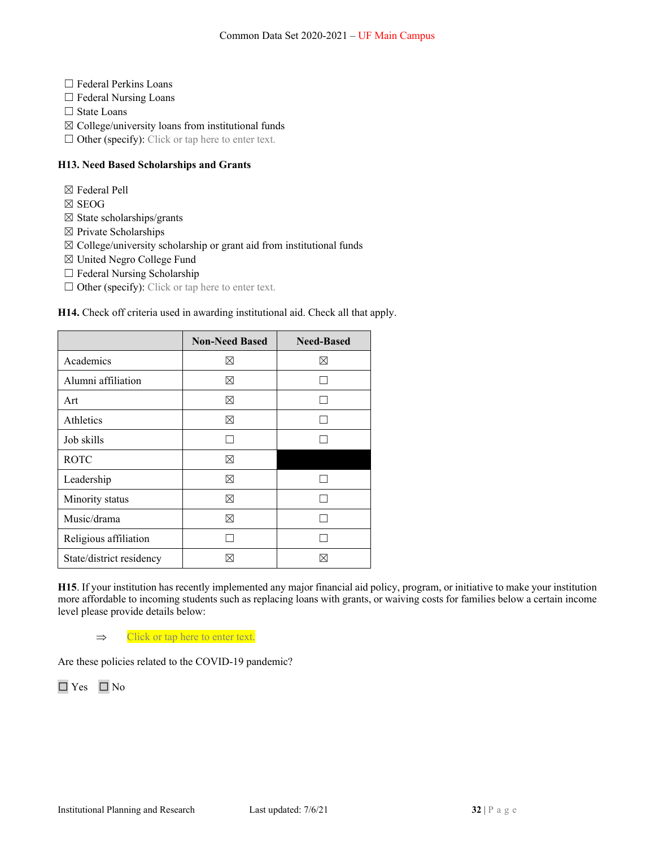- ☐ Federal Perkins Loans
- □ Federal Nursing Loans
- □ State Loans
- $\boxtimes$  College/university loans from institutional funds
- $\Box$  Other (specify): Click or tap here to enter text.

### **H13. Need Based Scholarships and Grants**

- ☒ Federal Pell
- ☒ SEOG
- $\boxtimes$  State scholarships/grants
- ☒ Private Scholarships
- $\boxtimes$  College/university scholarship or grant aid from institutional funds
- ☒ United Negro College Fund
- ☐ Federal Nursing Scholarship
- $\Box$  Other (specify): Click or tap here to enter text.

### **H14.** Check off criteria used in awarding institutional aid. Check all that apply.

|                          | <b>Non-Need Based</b> | <b>Need-Based</b> |
|--------------------------|-----------------------|-------------------|
| Academics                | M                     | M                 |
| Alumni affiliation       | ⊠                     |                   |
| Art                      | ⊠                     |                   |
| Athletics                | ⊠                     |                   |
| Job skills               |                       |                   |
| <b>ROTC</b>              | ⊠                     |                   |
| Leadership               | ⊠                     |                   |
| Minority status          | ⊠                     |                   |
| Music/drama              | ⊠                     |                   |
| Religious affiliation    |                       |                   |
| State/district residency |                       |                   |

**H15**. If your institution has recently implemented any major financial aid policy, program, or initiative to make your institution more affordable to incoming students such as replacing loans with grants, or waiving costs for families below a certain income level please provide details below:

 $\Rightarrow$  Click or tap here to enter text.

Are these policies related to the COVID-19 pandemic?

☐ Yes ☐ No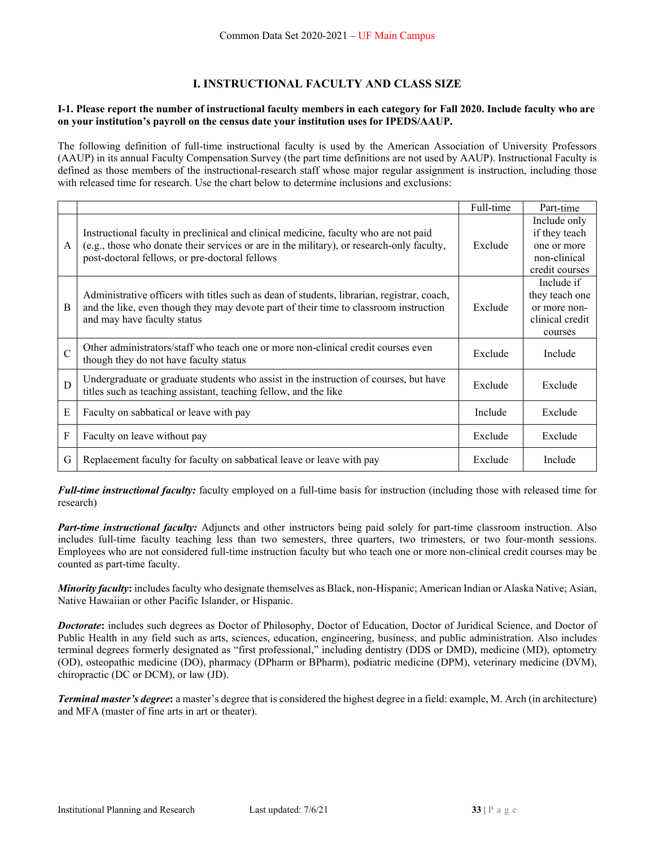## **I. INSTRUCTIONAL FACULTY AND CLASS SIZE**

#### **I-1. Please report the number of instructional faculty members in each category for Fall 2020. Include faculty who are on your institution's payroll on the census date your institution uses for IPEDS/AAUP.**

The following definition of full-time instructional faculty is used by the American Association of University Professors (AAUP) in its annual Faculty Compensation Survey (the part time definitions are not used by AAUP). Instructional Faculty is defined as those members of the instructional-research staff whose major regular assignment is instruction, including those with released time for research. Use the chart below to determine inclusions and exclusions:

|               |                                                                                                                                                                                                                    | Full-time | Part-time       |
|---------------|--------------------------------------------------------------------------------------------------------------------------------------------------------------------------------------------------------------------|-----------|-----------------|
|               |                                                                                                                                                                                                                    |           | Include only    |
|               | Instructional faculty in preclinical and clinical medicine, faculty who are not paid                                                                                                                               |           | if they teach   |
| $\mathbf{A}$  | (e.g., those who donate their services or are in the military), or research-only faculty,                                                                                                                          | Exclude   | one or more     |
|               | post-doctoral fellows, or pre-doctoral fellows                                                                                                                                                                     |           | non-clinical    |
|               |                                                                                                                                                                                                                    |           | credit courses  |
|               |                                                                                                                                                                                                                    |           | Include if      |
|               | Administrative officers with titles such as dean of students, librarian, registrar, coach,<br>and the like, even though they may devote part of their time to classroom instruction<br>and may have faculty status |           | they teach one  |
| B             |                                                                                                                                                                                                                    |           | or more non-    |
|               |                                                                                                                                                                                                                    |           | clinical credit |
|               |                                                                                                                                                                                                                    |           | courses         |
| $\mathcal{C}$ | Other administrators/staff who teach one or more non-clinical credit courses even                                                                                                                                  | Exclude   | Include         |
|               | though they do not have faculty status                                                                                                                                                                             |           |                 |
| D             | Undergraduate or graduate students who assist in the instruction of courses, but have                                                                                                                              | Exclude   | Exclude         |
|               | titles such as teaching assistant, teaching fellow, and the like                                                                                                                                                   |           |                 |
| E             | Faculty on sabbatical or leave with pay                                                                                                                                                                            | Include   | Exclude         |
|               |                                                                                                                                                                                                                    |           |                 |
| F             | Faculty on leave without pay                                                                                                                                                                                       | Exclude   | Exclude         |
| G             | Replacement faculty for faculty on sabbatical leave or leave with pay                                                                                                                                              | Exclude   | Include         |

*Full-time instructional faculty:* faculty employed on a full-time basis for instruction (including those with released time for research)

*Part-time instructional faculty:* Adjuncts and other instructors being paid solely for part-time classroom instruction. Also includes full-time faculty teaching less than two semesters, three quarters, two trimesters, or two four-month sessions. Employees who are not considered full-time instruction faculty but who teach one or more non-clinical credit courses may be counted as part-time faculty.

*Minority faculty***:** includes faculty who designate themselves as Black, non-Hispanic; American Indian or Alaska Native; Asian, Native Hawaiian or other Pacific Islander, or Hispanic.

*Doctorate***:** includes such degrees as Doctor of Philosophy, Doctor of Education, Doctor of Juridical Science, and Doctor of Public Health in any field such as arts, sciences, education, engineering, business, and public administration. Also includes terminal degrees formerly designated as "first professional," including dentistry (DDS or DMD), medicine (MD), optometry (OD), osteopathic medicine (DO), pharmacy (DPharm or BPharm), podiatric medicine (DPM), veterinary medicine (DVM), chiropractic (DC or DCM), or law (JD).

*Terminal master's degree***:** a master's degree that is considered the highest degree in a field: example, M. Arch (in architecture) and MFA (master of fine arts in art or theater).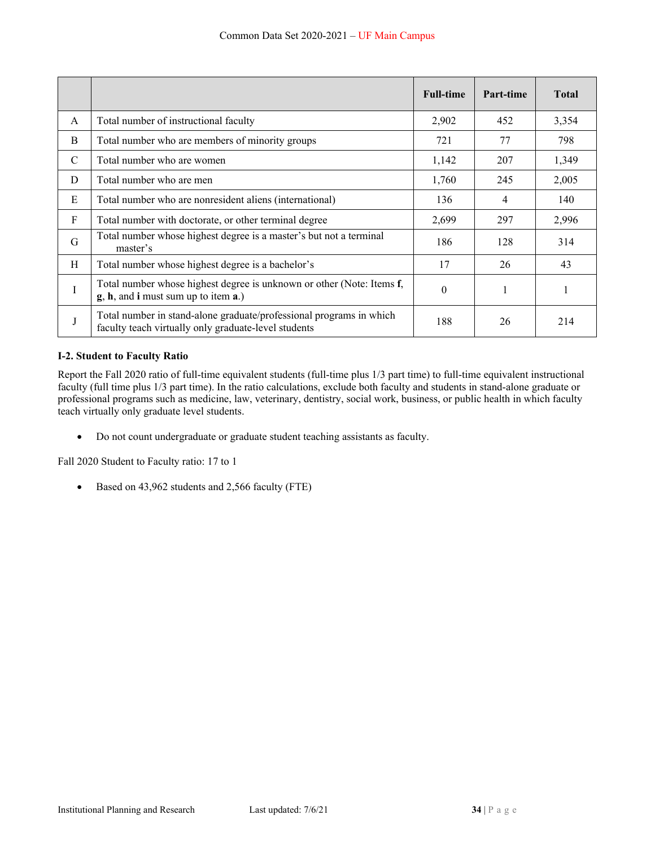|              |                                                                                                                             | <b>Full-time</b> | Part-time | <b>Total</b> |
|--------------|-----------------------------------------------------------------------------------------------------------------------------|------------------|-----------|--------------|
| $\mathsf{A}$ | Total number of instructional faculty                                                                                       | 2,902            | 452       | 3,354        |
| B            | Total number who are members of minority groups                                                                             | 721              | 77        | 798          |
| C            | Total number who are women                                                                                                  | 1,142            | 207       | 1,349        |
| D            | Total number who are men                                                                                                    | 1,760            | 245       | 2,005        |
| Ε            | Total number who are nonresident aliens (international)                                                                     | 136              | 4         | 140          |
| F            | Total number with doctorate, or other terminal degree                                                                       | 2,699            | 297       | 2,996        |
| G            | Total number whose highest degree is a master's but not a terminal<br>master's                                              | 186              | 128       | 314          |
| H            | Total number whose highest degree is a bachelor's                                                                           | 17               | 26        | 43           |
| I            | Total number whose highest degree is unknown or other (Note: Items f,<br>$g, h,$ and i must sum up to item $a$ .)           | $\theta$         |           | 1            |
| J            | Total number in stand-alone graduate/professional programs in which<br>faculty teach virtually only graduate-level students | 188              | 26        | 214          |

### **I-2. Student to Faculty Ratio**

Report the Fall 2020 ratio of full-time equivalent students (full-time plus 1/3 part time) to full-time equivalent instructional faculty (full time plus 1/3 part time). In the ratio calculations, exclude both faculty and students in stand-alone graduate or professional programs such as medicine, law, veterinary, dentistry, social work, business, or public health in which faculty teach virtually only graduate level students.

Do not count undergraduate or graduate student teaching assistants as faculty.

Fall 2020 Student to Faculty ratio: 17 to 1

Based on 43,962 students and 2,566 faculty (FTE)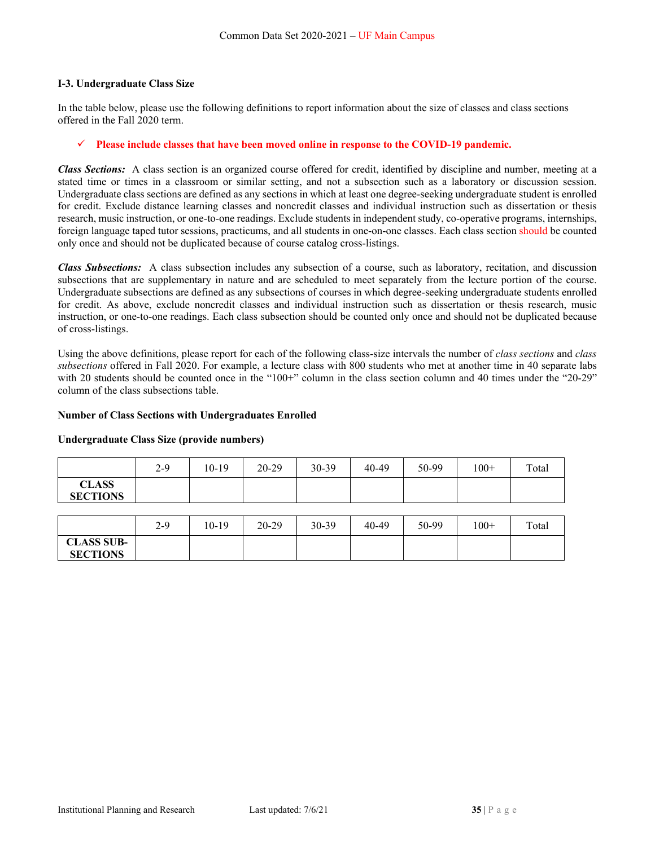#### **I-3. Undergraduate Class Size**

In the table below, please use the following definitions to report information about the size of classes and class sections offered in the Fall 2020 term.

### **Please include classes that have been moved online in response to the COVID-19 pandemic.**

*Class Sections:* A class section is an organized course offered for credit, identified by discipline and number, meeting at a stated time or times in a classroom or similar setting, and not a subsection such as a laboratory or discussion session. Undergraduate class sections are defined as any sections in which at least one degree-seeking undergraduate student is enrolled for credit. Exclude distance learning classes and noncredit classes and individual instruction such as dissertation or thesis research, music instruction, or one-to-one readings. Exclude students in independent study, co-operative programs, internships, foreign language taped tutor sessions, practicums, and all students in one-on-one classes. Each class section should be counted only once and should not be duplicated because of course catalog cross-listings.

*Class Subsections:* A class subsection includes any subsection of a course, such as laboratory, recitation, and discussion subsections that are supplementary in nature and are scheduled to meet separately from the lecture portion of the course. Undergraduate subsections are defined as any subsections of courses in which degree-seeking undergraduate students enrolled for credit. As above, exclude noncredit classes and individual instruction such as dissertation or thesis research, music instruction, or one-to-one readings. Each class subsection should be counted only once and should not be duplicated because of cross-listings.

Using the above definitions, please report for each of the following class-size intervals the number of *class sections* and *class subsections* offered in Fall 2020. For example, a lecture class with 800 students who met at another time in 40 separate labs with 20 students should be counted once in the "100+" column in the class section column and 40 times under the "20-29" column of the class subsections table.

#### **Number of Class Sections with Undergraduates Enrolled**

#### **Undergraduate Class Size (provide numbers)**

|                                 | $2-9$ | 10-19 | $20-29$ | $30 - 39$ | 40-49 | 50-99 | $100+$ | Total |
|---------------------------------|-------|-------|---------|-----------|-------|-------|--------|-------|
| <b>CLASS</b><br><b>SECTIONS</b> |       |       |         |           |       |       |        |       |

|                   | $2 - 9$ | 10-19 | $20 - 29$ | 30-39 | 40-49 | 50-99 | $100+$ | Total |
|-------------------|---------|-------|-----------|-------|-------|-------|--------|-------|
| <b>CLASS SUB-</b> |         |       |           |       |       |       |        |       |
| <b>SECTIONS</b>   |         |       |           |       |       |       |        |       |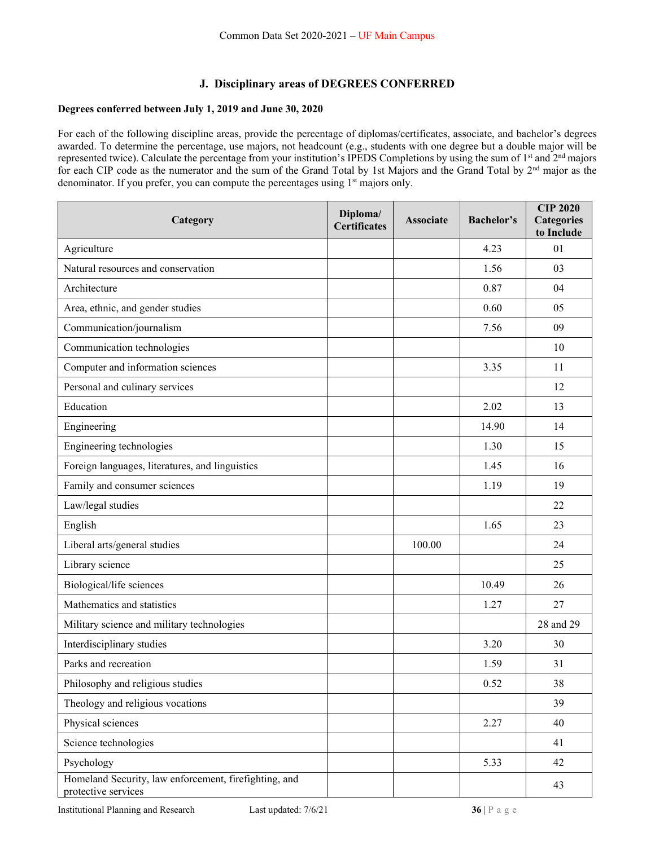### **J. Disciplinary areas of DEGREES CONFERRED**

### **Degrees conferred between July 1, 2019 and June 30, 2020**

For each of the following discipline areas, provide the percentage of diplomas/certificates, associate, and bachelor's degrees awarded. To determine the percentage, use majors, not headcount (e.g., students with one degree but a double major will be represented twice). Calculate the percentage from your institution's IPEDS Completions by using the sum of 1<sup>st</sup> and 2<sup>nd</sup> majors for each CIP code as the numerator and the sum of the Grand Total by 1st Majors and the Grand Total by 2<sup>nd</sup> major as the denominator. If you prefer, you can compute the percentages using 1<sup>st</sup> majors only.

| Category                                                                     | Diploma/<br><b>Certificates</b> | <b>Associate</b> | <b>Bachelor's</b> | <b>CIP 2020</b><br><b>Categories</b><br>to Include |
|------------------------------------------------------------------------------|---------------------------------|------------------|-------------------|----------------------------------------------------|
| Agriculture                                                                  |                                 |                  | 4.23              | 01                                                 |
| Natural resources and conservation                                           |                                 |                  | 1.56              | 03                                                 |
| Architecture                                                                 |                                 |                  | 0.87              | 04                                                 |
| Area, ethnic, and gender studies                                             |                                 |                  | 0.60              | 05                                                 |
| Communication/journalism                                                     |                                 |                  | 7.56              | 09                                                 |
| Communication technologies                                                   |                                 |                  |                   | 10                                                 |
| Computer and information sciences                                            |                                 |                  | 3.35              | 11                                                 |
| Personal and culinary services                                               |                                 |                  |                   | 12                                                 |
| Education                                                                    |                                 |                  | 2.02              | 13                                                 |
| Engineering                                                                  |                                 |                  | 14.90             | 14                                                 |
| Engineering technologies                                                     |                                 |                  | 1.30              | 15                                                 |
| Foreign languages, literatures, and linguistics                              |                                 |                  | 1.45              | 16                                                 |
| Family and consumer sciences                                                 |                                 |                  | 1.19              | 19                                                 |
| Law/legal studies                                                            |                                 |                  |                   | 22                                                 |
| English                                                                      |                                 |                  | 1.65              | 23                                                 |
| Liberal arts/general studies                                                 |                                 | 100.00           |                   | 24                                                 |
| Library science                                                              |                                 |                  |                   | 25                                                 |
| Biological/life sciences                                                     |                                 |                  | 10.49             | 26                                                 |
| Mathematics and statistics                                                   |                                 |                  | 1.27              | 27                                                 |
| Military science and military technologies                                   |                                 |                  |                   | 28 and 29                                          |
| Interdisciplinary studies                                                    |                                 |                  | 3.20              | 30                                                 |
| Parks and recreation                                                         |                                 |                  | 1.59              | 31                                                 |
| Philosophy and religious studies                                             |                                 |                  | 0.52              | 38                                                 |
| Theology and religious vocations                                             |                                 |                  |                   | 39                                                 |
| Physical sciences                                                            |                                 |                  | 2.27              | 40                                                 |
| Science technologies                                                         |                                 |                  |                   | 41                                                 |
| Psychology                                                                   |                                 |                  | 5.33              | 42                                                 |
| Homeland Security, law enforcement, firefighting, and<br>protective services |                                 |                  |                   | 43                                                 |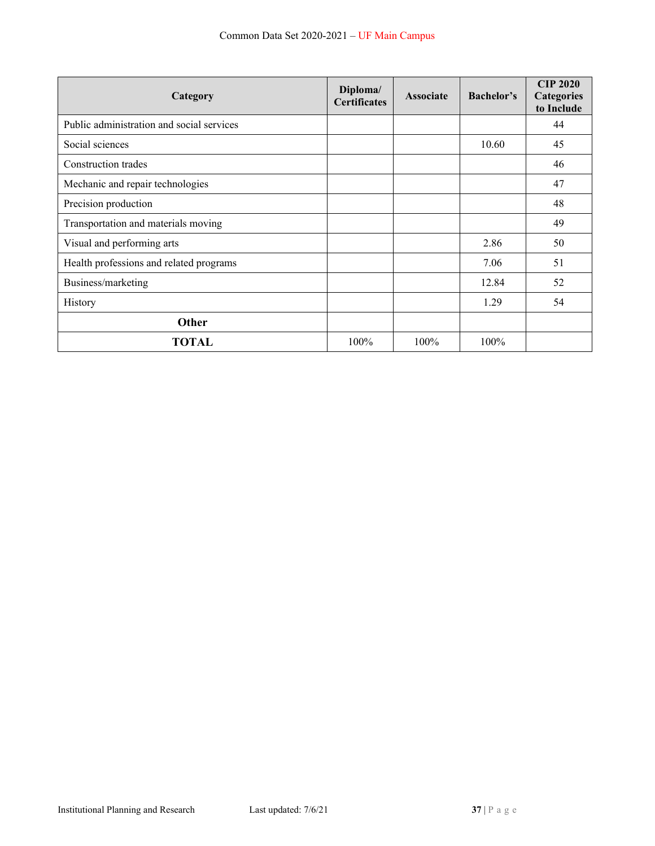| Category                                  | Diploma/<br><b>Certificates</b> | <b>Associate</b> | Bachelor's | <b>CIP 2020</b><br><b>Categories</b><br>to Include |
|-------------------------------------------|---------------------------------|------------------|------------|----------------------------------------------------|
| Public administration and social services |                                 |                  |            | 44                                                 |
| Social sciences                           |                                 |                  | 10.60      | 45                                                 |
| Construction trades                       |                                 |                  |            | 46                                                 |
| Mechanic and repair technologies          |                                 |                  |            | 47                                                 |
| Precision production                      |                                 |                  |            | 48                                                 |
| Transportation and materials moving       |                                 |                  |            | 49                                                 |
| Visual and performing arts                |                                 |                  | 2.86       | 50                                                 |
| Health professions and related programs   |                                 |                  | 7.06       | 51                                                 |
| Business/marketing                        |                                 |                  | 12.84      | 52                                                 |
| History                                   |                                 |                  | 1.29       | 54                                                 |
| Other                                     |                                 |                  |            |                                                    |
| <b>TOTAL</b>                              | 100%                            | 100%             | 100%       |                                                    |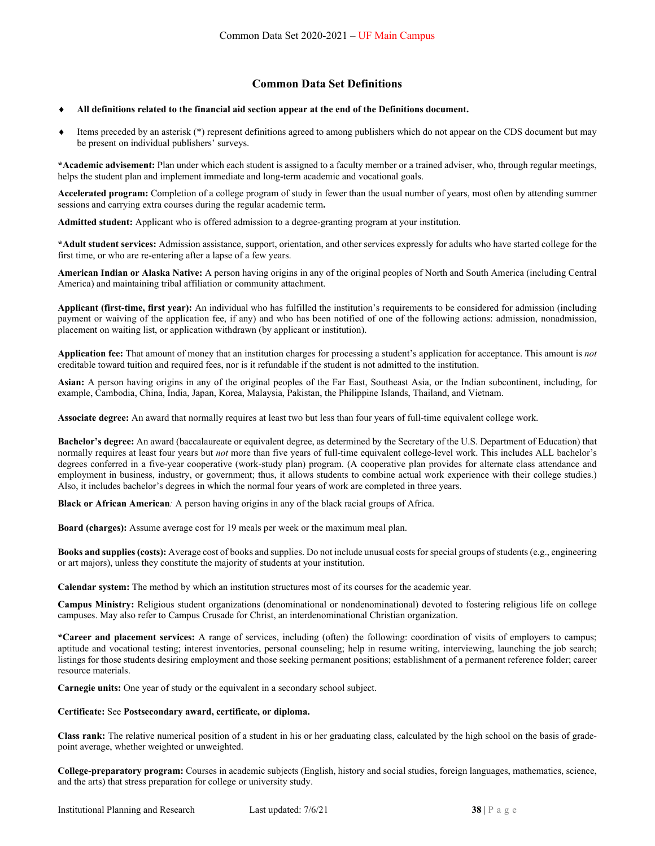#### **Common Data Set Definitions**

#### **All definitions related to the financial aid section appear at the end of the Definitions document.**

 Items preceded by an asterisk (\*) represent definitions agreed to among publishers which do not appear on the CDS document but may be present on individual publishers' surveys.

**\*Academic advisement:** Plan under which each student is assigned to a faculty member or a trained adviser, who, through regular meetings, helps the student plan and implement immediate and long-term academic and vocational goals.

**Accelerated program:** Completion of a college program of study in fewer than the usual number of years, most often by attending summer sessions and carrying extra courses during the regular academic term**.** 

**Admitted student:** Applicant who is offered admission to a degree-granting program at your institution.

**\*Adult student services:** Admission assistance, support, orientation, and other services expressly for adults who have started college for the first time, or who are re-entering after a lapse of a few years.

**American Indian or Alaska Native:** A person having origins in any of the original peoples of North and South America (including Central America) and maintaining tribal affiliation or community attachment.

**Applicant (first-time, first year):** An individual who has fulfilled the institution's requirements to be considered for admission (including payment or waiving of the application fee, if any) and who has been notified of one of the following actions: admission, nonadmission, placement on waiting list, or application withdrawn (by applicant or institution).

**Application fee:** That amount of money that an institution charges for processing a student's application for acceptance. This amount is *not*  creditable toward tuition and required fees, nor is it refundable if the student is not admitted to the institution.

**Asian:** A person having origins in any of the original peoples of the Far East, Southeast Asia, or the Indian subcontinent, including, for example, Cambodia, China, India, Japan, Korea, Malaysia, Pakistan, the Philippine Islands, Thailand, and Vietnam.

**Associate degree:** An award that normally requires at least two but less than four years of full-time equivalent college work.

**Bachelor's degree:** An award (baccalaureate or equivalent degree, as determined by the Secretary of the U.S. Department of Education) that normally requires at least four years but *not* more than five years of full-time equivalent college-level work. This includes ALL bachelor's degrees conferred in a five-year cooperative (work-study plan) program. (A cooperative plan provides for alternate class attendance and employment in business, industry, or government; thus, it allows students to combine actual work experience with their college studies.) Also, it includes bachelor's degrees in which the normal four years of work are completed in three years.

**Black or African American***:* A person having origins in any of the black racial groups of Africa.

**Board (charges):** Assume average cost for 19 meals per week or the maximum meal plan.

**Books and supplies (costs):** Average cost of books and supplies. Do not include unusual costs for special groups of students (e.g., engineering or art majors), unless they constitute the majority of students at your institution.

**Calendar system:** The method by which an institution structures most of its courses for the academic year.

**Campus Ministry:** Religious student organizations (denominational or nondenominational) devoted to fostering religious life on college campuses. May also refer to Campus Crusade for Christ, an interdenominational Christian organization.

**\*Career and placement services:** A range of services, including (often) the following: coordination of visits of employers to campus; aptitude and vocational testing; interest inventories, personal counseling; help in resume writing, interviewing, launching the job search; listings for those students desiring employment and those seeking permanent positions; establishment of a permanent reference folder; career resource materials.

**Carnegie units:** One year of study or the equivalent in a secondary school subject.

#### **Certificate:** See **Postsecondary award, certificate, or diploma.**

**Class rank:** The relative numerical position of a student in his or her graduating class, calculated by the high school on the basis of gradepoint average, whether weighted or unweighted.

**College-preparatory program:** Courses in academic subjects (English, history and social studies, foreign languages, mathematics, science, and the arts) that stress preparation for college or university study.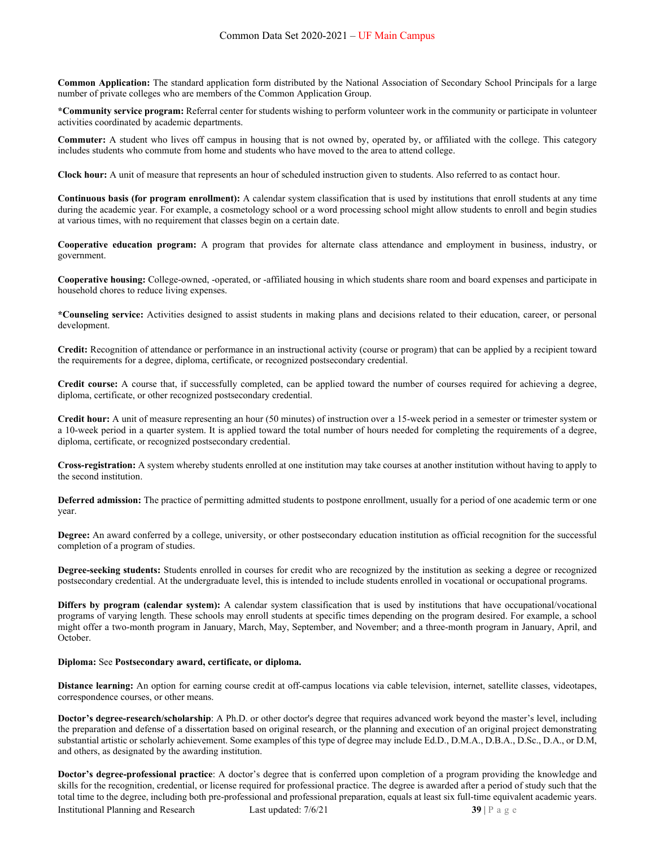**Common Application:** The standard application form distributed by the National Association of Secondary School Principals for a large number of private colleges who are members of the Common Application Group.

**\*Community service program:** Referral center for students wishing to perform volunteer work in the community or participate in volunteer activities coordinated by academic departments.

**Commuter:** A student who lives off campus in housing that is not owned by, operated by, or affiliated with the college. This category includes students who commute from home and students who have moved to the area to attend college.

**Clock hour:** A unit of measure that represents an hour of scheduled instruction given to students. Also referred to as contact hour.

**Continuous basis (for program enrollment):** A calendar system classification that is used by institutions that enroll students at any time during the academic year. For example, a cosmetology school or a word processing school might allow students to enroll and begin studies at various times, with no requirement that classes begin on a certain date.

**Cooperative education program:** A program that provides for alternate class attendance and employment in business, industry, or government.

**Cooperative housing:** College-owned, -operated, or -affiliated housing in which students share room and board expenses and participate in household chores to reduce living expenses.

**\*Counseling service:** Activities designed to assist students in making plans and decisions related to their education, career, or personal development.

**Credit:** Recognition of attendance or performance in an instructional activity (course or program) that can be applied by a recipient toward the requirements for a degree, diploma, certificate, or recognized postsecondary credential.

**Credit course:** A course that, if successfully completed, can be applied toward the number of courses required for achieving a degree, diploma, certificate, or other recognized postsecondary credential.

**Credit hour:** A unit of measure representing an hour (50 minutes) of instruction over a 15-week period in a semester or trimester system or a 10-week period in a quarter system. It is applied toward the total number of hours needed for completing the requirements of a degree, diploma, certificate, or recognized postsecondary credential.

**Cross-registration:** A system whereby students enrolled at one institution may take courses at another institution without having to apply to the second institution.

**Deferred admission:** The practice of permitting admitted students to postpone enrollment, usually for a period of one academic term or one year.

**Degree:** An award conferred by a college, university, or other postsecondary education institution as official recognition for the successful completion of a program of studies.

**Degree-seeking students:** Students enrolled in courses for credit who are recognized by the institution as seeking a degree or recognized postsecondary credential. At the undergraduate level, this is intended to include students enrolled in vocational or occupational programs.

**Differs by program (calendar system):** A calendar system classification that is used by institutions that have occupational/vocational programs of varying length. These schools may enroll students at specific times depending on the program desired. For example, a school might offer a two-month program in January, March, May, September, and November; and a three-month program in January, April, and October.

#### **Diploma:** See **Postsecondary award, certificate, or diploma.**

**Distance learning:** An option for earning course credit at off-campus locations via cable television, internet, satellite classes, videotapes, correspondence courses, or other means.

**Doctor's degree-research/scholarship**: A Ph.D. or other doctor's degree that requires advanced work beyond the master's level, including the preparation and defense of a dissertation based on original research, or the planning and execution of an original project demonstrating substantial artistic or scholarly achievement. Some examples of this type of degree may include Ed.D., D.M.A., D.B.A., D.Sc., D.A., or D.M, and others, as designated by the awarding institution.

**Doctor's degree-professional practice**: A doctor's degree that is conferred upon completion of a program providing the knowledge and skills for the recognition, credential, or license required for professional practice. The degree is awarded after a period of study such that the total time to the degree, including both pre-professional and professional preparation, equals at least six full-time equivalent academic years.

**Institutional Planning and Research Last updated: 7/6/21 39 | P a g e**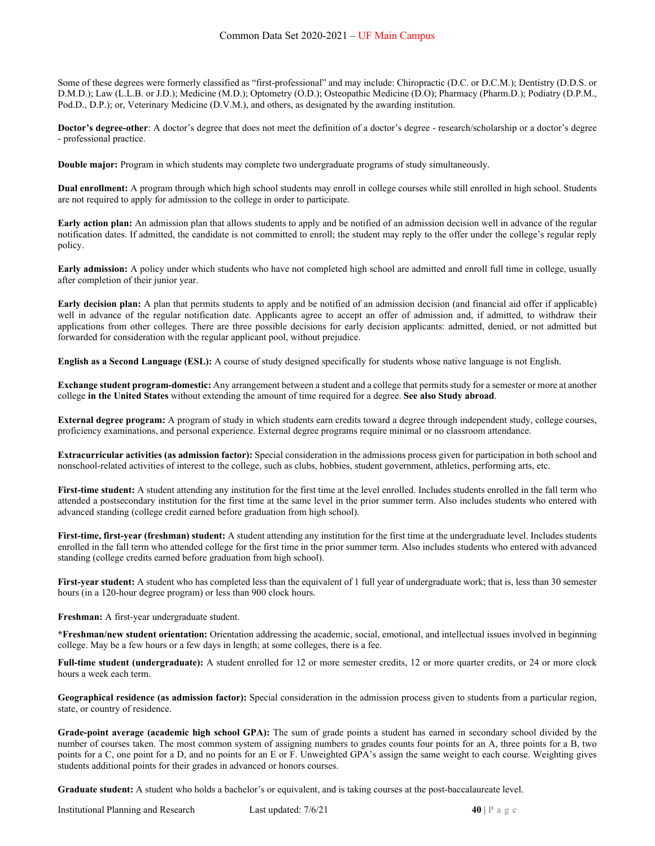Some of these degrees were formerly classified as "first-professional" and may include: Chiropractic (D.C. or D.C.M.); Dentistry (D.D.S. or D.M.D.); Law (L.L.B. or J.D.); Medicine (M.D.); Optometry (O.D.); Osteopathic Medicine (D.O); Pharmacy (Pharm.D.); Podiatry (D.P.M., Pod.D., D.P.); or, Veterinary Medicine (D.V.M.), and others, as designated by the awarding institution.

**Doctor's degree-other**: A doctor's degree that does not meet the definition of a doctor's degree - research/scholarship or a doctor's degree - professional practice.

**Double major:** Program in which students may complete two undergraduate programs of study simultaneously.

**Dual enrollment:** A program through which high school students may enroll in college courses while still enrolled in high school. Students are not required to apply for admission to the college in order to participate.

**Early action plan:** An admission plan that allows students to apply and be notified of an admission decision well in advance of the regular notification dates. If admitted, the candidate is not committed to enroll; the student may reply to the offer under the college's regular reply policy.

**Early admission:** A policy under which students who have not completed high school are admitted and enroll full time in college, usually after completion of their junior year.

**Early decision plan:** A plan that permits students to apply and be notified of an admission decision (and financial aid offer if applicable) well in advance of the regular notification date. Applicants agree to accept an offer of admission and, if admitted, to withdraw their applications from other colleges. There are three possible decisions for early decision applicants: admitted, denied, or not admitted but forwarded for consideration with the regular applicant pool, without prejudice.

**English as a Second Language (ESL):** A course of study designed specifically for students whose native language is not English.

**Exchange student program-domestic:** Any arrangement between a student and a college that permits study for a semester or more at another college **in the United States** without extending the amount of time required for a degree. **See also Study abroad**.

**External degree program:** A program of study in which students earn credits toward a degree through independent study, college courses, proficiency examinations, and personal experience. External degree programs require minimal or no classroom attendance.

**Extracurricular activities (as admission factor):** Special consideration in the admissions process given for participation in both school and nonschool-related activities of interest to the college, such as clubs, hobbies, student government, athletics, performing arts, etc.

**First-time student:** A student attending any institution for the first time at the level enrolled. Includes students enrolled in the fall term who attended a postsecondary institution for the first time at the same level in the prior summer term. Also includes students who entered with advanced standing (college credit earned before graduation from high school).

**First-time, first-year (freshman) student:** A student attending any institution for the first time at the undergraduate level. Includes students enrolled in the fall term who attended college for the first time in the prior summer term. Also includes students who entered with advanced standing (college credits earned before graduation from high school).

First-year student: A student who has completed less than the equivalent of 1 full year of undergraduate work; that is, less than 30 semester hours (in a 120-hour degree program) or less than 900 clock hours.

**Freshman:** A first-year undergraduate student.

**\*Freshman/new student orientation:** Orientation addressing the academic, social, emotional, and intellectual issues involved in beginning college. May be a few hours or a few days in length; at some colleges, there is a fee.

Full-time student (undergraduate): A student enrolled for 12 or more semester credits, 12 or more quarter credits, or 24 or more clock hours a week each term.

**Geographical residence (as admission factor):** Special consideration in the admission process given to students from a particular region, state, or country of residence.

**Grade-point average (academic high school GPA):** The sum of grade points a student has earned in secondary school divided by the number of courses taken. The most common system of assigning numbers to grades counts four points for an A, three points for a B, two points for a C, one point for a D, and no points for an E or F. Unweighted GPA's assign the same weight to each course. Weighting gives students additional points for their grades in advanced or honors courses.

**Graduate student:** A student who holds a bachelor's or equivalent, and is taking courses at the post-baccalaureate level.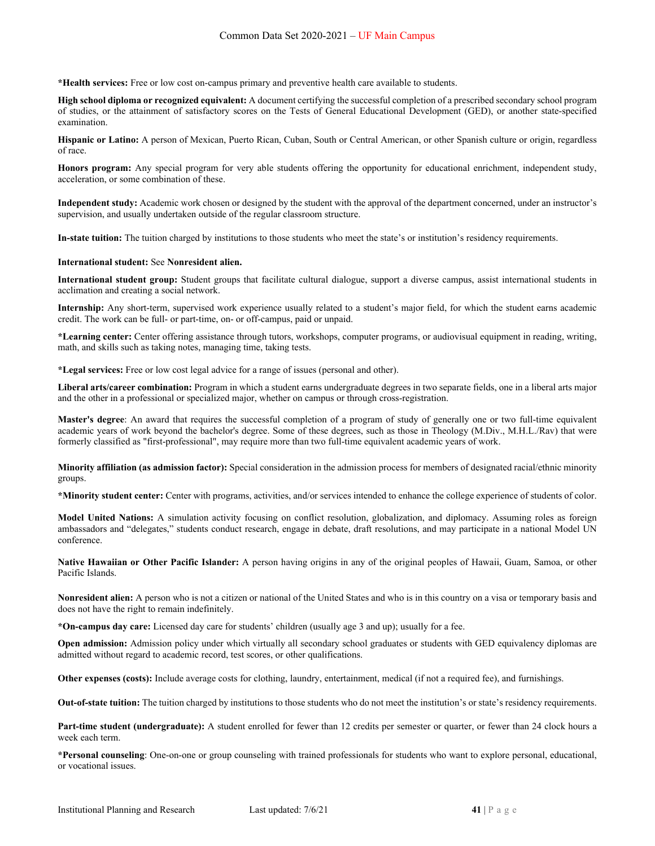**\*Health services:** Free or low cost on-campus primary and preventive health care available to students.

**High school diploma or recognized equivalent:** A document certifying the successful completion of a prescribed secondary school program of studies, or the attainment of satisfactory scores on the Tests of General Educational Development (GED), or another state-specified examination.

**Hispanic or Latino:** A person of Mexican, Puerto Rican, Cuban, South or Central American, or other Spanish culture or origin, regardless of race.

**Honors program:** Any special program for very able students offering the opportunity for educational enrichment, independent study, acceleration, or some combination of these.

**Independent study:** Academic work chosen or designed by the student with the approval of the department concerned, under an instructor's supervision, and usually undertaken outside of the regular classroom structure.

**In-state tuition:** The tuition charged by institutions to those students who meet the state's or institution's residency requirements.

#### **International student:** See **Nonresident alien.**

**International student group:** Student groups that facilitate cultural dialogue, support a diverse campus, assist international students in acclimation and creating a social network.

**Internship:** Any short-term, supervised work experience usually related to a student's major field, for which the student earns academic credit. The work can be full- or part-time, on- or off-campus, paid or unpaid.

**\*Learning center:** Center offering assistance through tutors, workshops, computer programs, or audiovisual equipment in reading, writing, math, and skills such as taking notes, managing time, taking tests.

**\*Legal services:** Free or low cost legal advice for a range of issues (personal and other).

**Liberal arts/career combination:** Program in which a student earns undergraduate degrees in two separate fields, one in a liberal arts major and the other in a professional or specialized major, whether on campus or through cross-registration.

**Master's degree**: An award that requires the successful completion of a program of study of generally one or two full-time equivalent academic years of work beyond the bachelor's degree. Some of these degrees, such as those in Theology (M.Div., M.H.L./Rav) that were formerly classified as "first-professional", may require more than two full-time equivalent academic years of work.

**Minority affiliation (as admission factor):** Special consideration in the admission process for members of designated racial/ethnic minority groups.

**\*Minority student center:** Center with programs, activities, and/or services intended to enhance the college experience of students of color.

**Model United Nations:** A simulation activity focusing on conflict resolution, globalization, and diplomacy. Assuming roles as foreign ambassadors and "delegates," students conduct research, engage in debate, draft resolutions, and may participate in a national Model UN conference.

**Native Hawaiian or Other Pacific Islander:** A person having origins in any of the original peoples of Hawaii, Guam, Samoa, or other Pacific Islands.

**Nonresident alien:** A person who is not a citizen or national of the United States and who is in this country on a visa or temporary basis and does not have the right to remain indefinitely.

**\*On-campus day care:** Licensed day care for students' children (usually age 3 and up); usually for a fee.

**Open admission:** Admission policy under which virtually all secondary school graduates or students with GED equivalency diplomas are admitted without regard to academic record, test scores, or other qualifications.

**Other expenses (costs):** Include average costs for clothing, laundry, entertainment, medical (if not a required fee), and furnishings.

**Out-of-state tuition:** The tuition charged by institutions to those students who do not meet the institution's or state's residency requirements.

**Part-time student (undergraduate):** A student enrolled for fewer than 12 credits per semester or quarter, or fewer than 24 clock hours a week each term.

**\*Personal counseling**: One-on-one or group counseling with trained professionals for students who want to explore personal, educational, or vocational issues.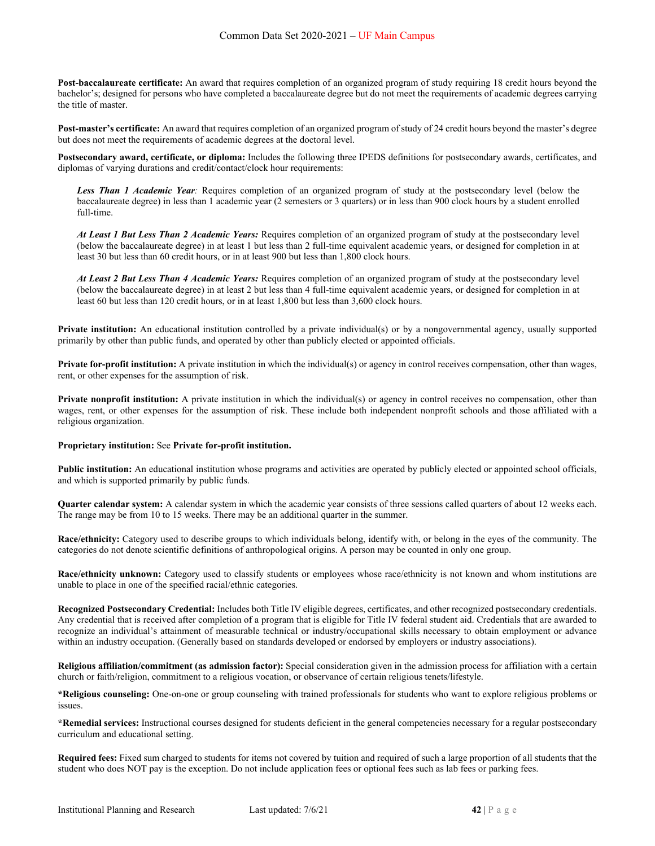**Post-baccalaureate certificate:** An award that requires completion of an organized program of study requiring 18 credit hours beyond the bachelor's; designed for persons who have completed a baccalaureate degree but do not meet the requirements of academic degrees carrying the title of master.

**Post-master's certificate:** An award that requires completion of an organized program of study of 24 credit hours beyond the master's degree but does not meet the requirements of academic degrees at the doctoral level.

**Postsecondary award, certificate, or diploma:** Includes the following three IPEDS definitions for postsecondary awards, certificates, and diplomas of varying durations and credit/contact/clock hour requirements:

*Less Than 1 Academic Year:* Requires completion of an organized program of study at the postsecondary level (below the baccalaureate degree) in less than 1 academic year (2 semesters or 3 quarters) or in less than 900 clock hours by a student enrolled full-time.

*At Least 1 But Less Than 2 Academic Years:* Requires completion of an organized program of study at the postsecondary level (below the baccalaureate degree) in at least 1 but less than 2 full-time equivalent academic years, or designed for completion in at least 30 but less than 60 credit hours, or in at least 900 but less than 1,800 clock hours.

*At Least 2 But Less Than 4 Academic Years:* Requires completion of an organized program of study at the postsecondary level (below the baccalaureate degree) in at least 2 but less than 4 full-time equivalent academic years, or designed for completion in at least 60 but less than 120 credit hours, or in at least 1,800 but less than 3,600 clock hours.

**Private institution:** An educational institution controlled by a private individual(s) or by a nongovernmental agency, usually supported primarily by other than public funds, and operated by other than publicly elected or appointed officials.

**Private for-profit institution:** A private institution in which the individual(s) or agency in control receives compensation, other than wages, rent, or other expenses for the assumption of risk.

**Private nonprofit institution:** A private institution in which the individual(s) or agency in control receives no compensation, other than wages, rent, or other expenses for the assumption of risk. These include both independent nonprofit schools and those affiliated with a religious organization.

#### **Proprietary institution:** See **Private for-profit institution.**

**Public institution:** An educational institution whose programs and activities are operated by publicly elected or appointed school officials, and which is supported primarily by public funds.

**Quarter calendar system:** A calendar system in which the academic year consists of three sessions called quarters of about 12 weeks each. The range may be from 10 to 15 weeks. There may be an additional quarter in the summer.

**Race/ethnicity:** Category used to describe groups to which individuals belong, identify with, or belong in the eyes of the community. The categories do not denote scientific definitions of anthropological origins. A person may be counted in only one group.

**Race/ethnicity unknown:** Category used to classify students or employees whose race/ethnicity is not known and whom institutions are unable to place in one of the specified racial/ethnic categories.

**Recognized Postsecondary Credential:** Includes both Title IV eligible degrees, certificates, and other recognized postsecondary credentials. Any credential that is received after completion of a program that is eligible for Title IV federal student aid. Credentials that are awarded to recognize an individual's attainment of measurable technical or industry/occupational skills necessary to obtain employment or advance within an industry occupation. (Generally based on standards developed or endorsed by employers or industry associations).

**Religious affiliation/commitment (as admission factor):** Special consideration given in the admission process for affiliation with a certain church or faith/religion, commitment to a religious vocation, or observance of certain religious tenets/lifestyle.

**\*Religious counseling:** One-on-one or group counseling with trained professionals for students who want to explore religious problems or issues.

**\*Remedial services:** Instructional courses designed for students deficient in the general competencies necessary for a regular postsecondary curriculum and educational setting.

**Required fees:** Fixed sum charged to students for items not covered by tuition and required of such a large proportion of all students that the student who does NOT pay is the exception. Do not include application fees or optional fees such as lab fees or parking fees.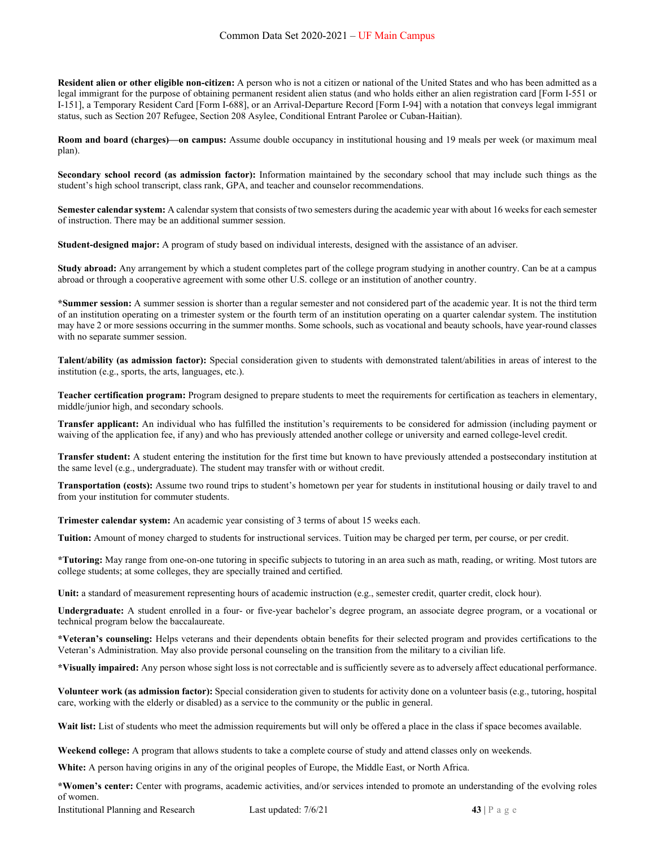**Resident alien or other eligible non-citizen:** A person who is not a citizen or national of the United States and who has been admitted as a legal immigrant for the purpose of obtaining permanent resident alien status (and who holds either an alien registration card [Form I-551 or I-151], a Temporary Resident Card [Form I-688], or an Arrival-Departure Record [Form I-94] with a notation that conveys legal immigrant status, such as Section 207 Refugee, Section 208 Asylee, Conditional Entrant Parolee or Cuban-Haitian).

**Room and board (charges)—on campus:** Assume double occupancy in institutional housing and 19 meals per week (or maximum meal plan).

**Secondary school record (as admission factor):** Information maintained by the secondary school that may include such things as the student's high school transcript, class rank, GPA, and teacher and counselor recommendations.

**Semester calendar system:** A calendar system that consists of two semesters during the academic year with about 16 weeks for each semester of instruction. There may be an additional summer session.

**Student-designed major:** A program of study based on individual interests, designed with the assistance of an adviser.

**Study abroad:** Any arrangement by which a student completes part of the college program studying in another country. Can be at a campus abroad or through a cooperative agreement with some other U.S. college or an institution of another country.

**\*Summer session:** A summer session is shorter than a regular semester and not considered part of the academic year. It is not the third term of an institution operating on a trimester system or the fourth term of an institution operating on a quarter calendar system. The institution may have 2 or more sessions occurring in the summer months. Some schools, such as vocational and beauty schools, have year-round classes with no separate summer session.

**Talent/ability (as admission factor):** Special consideration given to students with demonstrated talent/abilities in areas of interest to the institution (e.g., sports, the arts, languages, etc.).

**Teacher certification program:** Program designed to prepare students to meet the requirements for certification as teachers in elementary, middle/junior high, and secondary schools.

**Transfer applicant:** An individual who has fulfilled the institution's requirements to be considered for admission (including payment or waiving of the application fee, if any) and who has previously attended another college or university and earned college-level credit.

**Transfer student:** A student entering the institution for the first time but known to have previously attended a postsecondary institution at the same level (e.g., undergraduate). The student may transfer with or without credit.

**Transportation (costs):** Assume two round trips to student's hometown per year for students in institutional housing or daily travel to and from your institution for commuter students.

**Trimester calendar system:** An academic year consisting of 3 terms of about 15 weeks each.

**Tuition:** Amount of money charged to students for instructional services. Tuition may be charged per term, per course, or per credit.

**\*Tutoring:** May range from one-on-one tutoring in specific subjects to tutoring in an area such as math, reading, or writing. Most tutors are college students; at some colleges, they are specially trained and certified.

**Unit:** a standard of measurement representing hours of academic instruction (e.g., semester credit, quarter credit, clock hour).

**Undergraduate:** A student enrolled in a four- or five-year bachelor's degree program, an associate degree program, or a vocational or technical program below the baccalaureate.

**\*Veteran's counseling:** Helps veterans and their dependents obtain benefits for their selected program and provides certifications to the Veteran's Administration. May also provide personal counseling on the transition from the military to a civilian life.

**\*Visually impaired:** Any person whose sight loss is not correctable and is sufficiently severe as to adversely affect educational performance.

**Volunteer work (as admission factor):** Special consideration given to students for activity done on a volunteer basis (e.g., tutoring, hospital care, working with the elderly or disabled) as a service to the community or the public in general.

Wait list: List of students who meet the admission requirements but will only be offered a place in the class if space becomes available.

**Weekend college:** A program that allows students to take a complete course of study and attend classes only on weekends.

**White:** A person having origins in any of the original peoples of Europe, the Middle East, or North Africa.

**\*Women's center:** Center with programs, academic activities, and/or services intended to promote an understanding of the evolving roles of women.

**Institutional Planning and Research Last updated: 7/6/21 43 | P a g e**